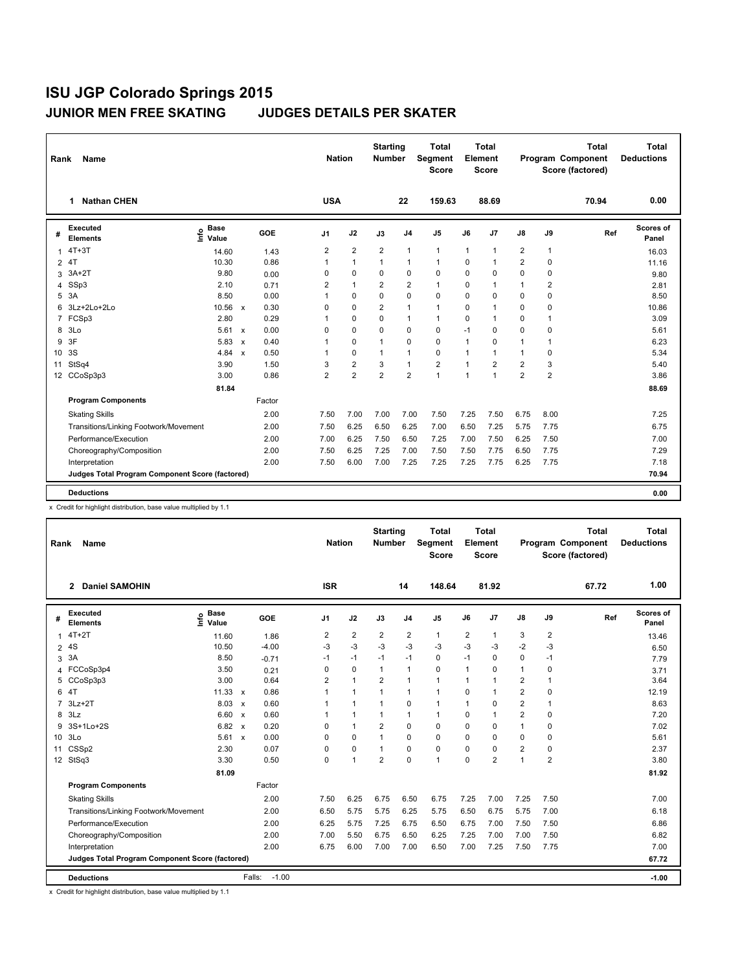| Rank                 | <b>Name</b>                                     |                              |                           |        | <b>Nation</b>  |                | <b>Starting</b><br><b>Number</b> |                | <b>Total</b><br>Segment<br><b>Score</b> |                | Total<br>Element<br><b>Score</b> |                         |                | <b>Total</b><br>Program Component<br>Score (factored) | Total<br><b>Deductions</b> |
|----------------------|-------------------------------------------------|------------------------------|---------------------------|--------|----------------|----------------|----------------------------------|----------------|-----------------------------------------|----------------|----------------------------------|-------------------------|----------------|-------------------------------------------------------|----------------------------|
|                      | <b>Nathan CHEN</b><br>1                         |                              |                           |        | <b>USA</b>     |                |                                  | 22             | 159.63                                  |                | 88.69                            |                         |                | 70.94                                                 | 0.00                       |
| #                    | <b>Executed</b><br><b>Elements</b>              | <b>Base</b><br>lnfo<br>Value |                           | GOE    | J1             | J2             | J3                               | J <sub>4</sub> | J5                                      | J6             | J <sub>7</sub>                   | $\mathsf{J}8$           | J9             | Ref                                                   | Scores of<br>Panel         |
| $\mathbf{1}$         | $4T+3T$                                         | 14.60                        |                           | 1.43   | 2              | 2              | $\overline{2}$                   | $\mathbf{1}$   | 1                                       | $\overline{1}$ | $\overline{1}$                   | 2                       | $\mathbf{1}$   |                                                       | 16.03                      |
| 4T<br>$\overline{2}$ |                                                 | 10.30                        |                           | 0.86   | $\mathbf{1}$   | 1              | $\mathbf{1}$                     | 1              | $\mathbf{1}$                            | $\Omega$       | $\overline{1}$                   | $\overline{2}$          | 0              |                                                       | 11.16                      |
| 3                    | $3A+2T$                                         | 9.80                         |                           | 0.00   | 0              | $\Omega$       | 0                                | $\mathbf 0$    | $\Omega$                                | $\Omega$       | $\mathbf 0$                      | $\mathbf 0$             | 0              |                                                       | 9.80                       |
| 4                    | SSp3                                            | 2.10                         |                           | 0.71   | 2              | 1              | 2                                | $\overline{2}$ | 1                                       | $\Omega$       | $\overline{1}$                   | $\mathbf{1}$            | $\overline{2}$ |                                                       | 2.81                       |
| 5                    | 3A                                              | 8.50                         |                           | 0.00   | 1              | $\Omega$       | $\Omega$                         | $\Omega$       | $\Omega$                                | $\Omega$       | $\mathbf 0$                      | $\Omega$                | $\Omega$       |                                                       | 8.50                       |
| 6                    | 3Lz+2Lo+2Lo                                     | 10.56                        | $\mathbf{x}$              | 0.30   | 0              | 0              | $\overline{2}$                   | 1              | 1                                       | $\Omega$       | $\overline{1}$                   | $\mathbf 0$             | $\mathbf 0$    |                                                       | 10.86                      |
| $\overline{7}$       | FCSp3                                           | 2.80                         |                           | 0.29   | 1              | $\Omega$       | 0                                | $\mathbf{1}$   | $\mathbf{1}$                            | $\Omega$       | $\overline{1}$                   | $\Omega$                | $\mathbf{1}$   |                                                       | 3.09                       |
| 8                    | 3 <sub>LO</sub>                                 | 5.61                         | $\mathbf{x}$              | 0.00   | 0              | $\Omega$       | 0                                | $\Omega$       | 0                                       | $-1$           | $\Omega$                         | $\Omega$                | $\Omega$       |                                                       | 5.61                       |
| 9                    | 3F                                              | 5.83                         | $\boldsymbol{\mathsf{x}}$ | 0.40   | $\mathbf{1}$   | 0              | $\mathbf{1}$                     | $\mathbf 0$    | 0                                       | $\mathbf{1}$   | $\mathbf 0$                      | $\mathbf{1}$            | $\mathbf{1}$   |                                                       | 6.23                       |
| 10                   | 3S                                              | 4.84                         | $\boldsymbol{\mathsf{x}}$ | 0.50   | $\mathbf{1}$   | $\Omega$       | $\mathbf{1}$                     | 1              | $\Omega$                                | 1              | $\overline{1}$                   | $\mathbf{1}$            | $\Omega$       |                                                       | 5.34                       |
| 11                   | StSq4                                           | 3.90                         |                           | 1.50   | 3              | 2              | 3                                | $\mathbf{1}$   | $\overline{\mathbf{c}}$                 | $\overline{1}$ | $\overline{2}$                   | $\overline{\mathbf{c}}$ | 3              |                                                       | 5.40                       |
|                      | 12 CCoSp3p3                                     | 3.00                         |                           | 0.86   | $\overline{2}$ | $\overline{2}$ | $\overline{2}$                   | $\overline{2}$ | 1                                       | $\overline{1}$ | $\overline{1}$                   | $\overline{2}$          | $\overline{2}$ |                                                       | 3.86                       |
|                      |                                                 | 81.84                        |                           |        |                |                |                                  |                |                                         |                |                                  |                         |                |                                                       | 88.69                      |
|                      | <b>Program Components</b>                       |                              |                           | Factor |                |                |                                  |                |                                         |                |                                  |                         |                |                                                       |                            |
|                      | <b>Skating Skills</b>                           |                              |                           | 2.00   | 7.50           | 7.00           | 7.00                             | 7.00           | 7.50                                    | 7.25           | 7.50                             | 6.75                    | 8.00           |                                                       | 7.25                       |
|                      | Transitions/Linking Footwork/Movement           |                              |                           | 2.00   | 7.50           | 6.25           | 6.50                             | 6.25           | 7.00                                    | 6.50           | 7.25                             | 5.75                    | 7.75           |                                                       | 6.75                       |
|                      | Performance/Execution                           |                              |                           | 2.00   | 7.00           | 6.25           | 7.50                             | 6.50           | 7.25                                    | 7.00           | 7.50                             | 6.25                    | 7.50           |                                                       | 7.00                       |
|                      | Choreography/Composition                        |                              |                           | 2.00   | 7.50           | 6.25           | 7.25                             | 7.00           | 7.50                                    | 7.50           | 7.75                             | 6.50                    | 7.75           |                                                       | 7.29                       |
|                      | Interpretation                                  |                              |                           | 2.00   | 7.50           | 6.00           | 7.00                             | 7.25           | 7.25                                    | 7.25           | 7.75                             | 6.25                    | 7.75           |                                                       | 7.18                       |
|                      | Judges Total Program Component Score (factored) |                              |                           |        |                |                |                                  |                |                                         |                |                                  |                         |                |                                                       | 70.94                      |
|                      | <b>Deductions</b>                               |                              |                           |        |                |                |                                  |                |                                         |                |                                  |                         |                |                                                       | 0.00                       |

x Credit for highlight distribution, base value multiplied by 1.1

| Rank           | <b>Name</b>                                     |                                        |         |                | <b>Nation</b>  | <b>Starting</b><br><b>Number</b> |                         | <b>Total</b><br>Segment<br><b>Score</b> |                | Total<br>Element<br><b>Score</b> |                |                | Total<br>Program Component<br>Score (factored) | <b>Total</b><br><b>Deductions</b> |
|----------------|-------------------------------------------------|----------------------------------------|---------|----------------|----------------|----------------------------------|-------------------------|-----------------------------------------|----------------|----------------------------------|----------------|----------------|------------------------------------------------|-----------------------------------|
|                | <b>Daniel SAMOHIN</b><br>$\mathbf{2}$           |                                        |         | <b>ISR</b>     |                |                                  | 14                      | 148.64                                  |                | 81.92                            |                |                | 67.72                                          | 1.00                              |
| #              | <b>Executed</b><br><b>Elements</b>              | <b>Base</b><br>$\bullet$<br>έ<br>Value | GOE     | J <sub>1</sub> | J2             | J3                               | J <sub>4</sub>          | J <sub>5</sub>                          | J6             | J <sub>7</sub>                   | $\mathsf{J}8$  | J9             | Ref                                            | <b>Scores of</b><br>Panel         |
| 1              | $4T+2T$                                         | 11.60                                  | 1.86    | $\overline{2}$ | $\overline{2}$ | $\overline{2}$                   | $\overline{\mathbf{c}}$ | $\mathbf{1}$                            | $\overline{2}$ | $\mathbf{1}$                     | 3              | $\overline{2}$ |                                                | 13.46                             |
|                | 2 4S                                            | 10.50                                  | $-4.00$ | $-3$           | $-3$           | $-3$                             | $-3$                    | $-3$                                    | -3             | $-3$                             | $-2$           | $-3$           |                                                | 6.50                              |
| 3              | 3A                                              | 8.50                                   | $-0.71$ | $-1$           | $-1$           | $-1$                             | $-1$                    | $\mathbf 0$                             | $-1$           | $\mathbf 0$                      | $\mathbf 0$    | $-1$           |                                                | 7.79                              |
| 4              | FCCoSp3p4                                       | 3.50                                   | 0.21    | 0              | 0              | $\mathbf{1}$                     | 1                       | 0                                       | 1              | $\mathbf 0$                      | $\mathbf{1}$   | 0              |                                                | 3.71                              |
| 5              | CCoSp3p3                                        | 3.00                                   | 0.64    | $\overline{2}$ | 1              | $\overline{2}$                   | 1                       | $\mathbf{1}$                            |                | $\mathbf{1}$                     | $\overline{2}$ | $\mathbf{1}$   |                                                | 3.64                              |
|                | 6 4T                                            | $11.33 \times$                         | 0.86    | $\mathbf{1}$   | 1              | $\mathbf{1}$                     | 1                       | $\mathbf{1}$                            | 0              | $\mathbf{1}$                     | $\overline{2}$ | 0              |                                                | 12.19                             |
| $\overline{7}$ | $3Lz+2T$                                        | 8.03 x                                 | 0.60    | 1              | 1              | $\mathbf{1}$                     | 0                       | 1                                       | 1              | $\mathbf 0$                      | $\overline{2}$ | $\mathbf{1}$   |                                                | 8.63                              |
| 8              | 3Lz                                             | $6.60 \times$                          | 0.60    | 1              | 1              | 1                                | 1                       | $\mathbf{1}$                            | $\Omega$       | $\mathbf{1}$                     | $\overline{2}$ | 0              |                                                | 7.20                              |
| 9              | 3S+1Lo+2S                                       | 6.82 x                                 | 0.20    | 0              | 1              | 2                                | 0                       | 0                                       | $\Omega$       | $\mathbf 0$                      | $\mathbf{1}$   | 0              |                                                | 7.02                              |
|                | 10 3Lo                                          | $5.61 \times$                          | 0.00    | 0              | 0              | 1                                | 0                       | $\mathbf 0$                             | 0              | $\mathbf 0$                      | $\mathbf 0$    | 0              |                                                | 5.61                              |
|                | 11 CSSp2                                        | 2.30                                   | 0.07    | 0              | 0              | 1                                | 0                       | $\mathbf 0$                             | $\Omega$       | $\mathbf 0$                      | $\overline{2}$ | 0              |                                                | 2.37                              |
|                | 12 StSq3                                        | 3.30                                   | 0.50    | 0              | 1              | $\overline{2}$                   | 0                       | 1                                       | 0              | $\overline{2}$                   | $\mathbf{1}$   | $\overline{2}$ |                                                | 3.80                              |
|                |                                                 | 81.09                                  |         |                |                |                                  |                         |                                         |                |                                  |                |                |                                                | 81.92                             |
|                | <b>Program Components</b>                       |                                        | Factor  |                |                |                                  |                         |                                         |                |                                  |                |                |                                                |                                   |
|                | <b>Skating Skills</b>                           |                                        | 2.00    | 7.50           | 6.25           | 6.75                             | 6.50                    | 6.75                                    | 7.25           | 7.00                             | 7.25           | 7.50           |                                                | 7.00                              |
|                | Transitions/Linking Footwork/Movement           |                                        | 2.00    | 6.50           | 5.75           | 5.75                             | 6.25                    | 5.75                                    | 6.50           | 6.75                             | 5.75           | 7.00           |                                                | 6.18                              |
|                | Performance/Execution                           |                                        | 2.00    | 6.25           | 5.75           | 7.25                             | 6.75                    | 6.50                                    | 6.75           | 7.00                             | 7.50           | 7.50           |                                                | 6.86                              |
|                | Choreography/Composition                        |                                        | 2.00    | 7.00           | 5.50           | 6.75                             | 6.50                    | 6.25                                    | 7.25           | 7.00                             | 7.00           | 7.50           |                                                | 6.82                              |
|                | Interpretation                                  |                                        | 2.00    | 6.75           | 6.00           | 7.00                             | 7.00                    | 6.50                                    | 7.00           | 7.25                             | 7.50           | 7.75           |                                                | 7.00                              |
|                | Judges Total Program Component Score (factored) |                                        |         |                |                |                                  |                         |                                         |                |                                  |                |                |                                                | 67.72                             |
|                | <b>Deductions</b>                               |                                        | Falls:  | $-1.00$        |                |                                  |                         |                                         |                |                                  |                |                |                                                | $-1.00$                           |

x Credit for highlight distribution, base value multiplied by 1.1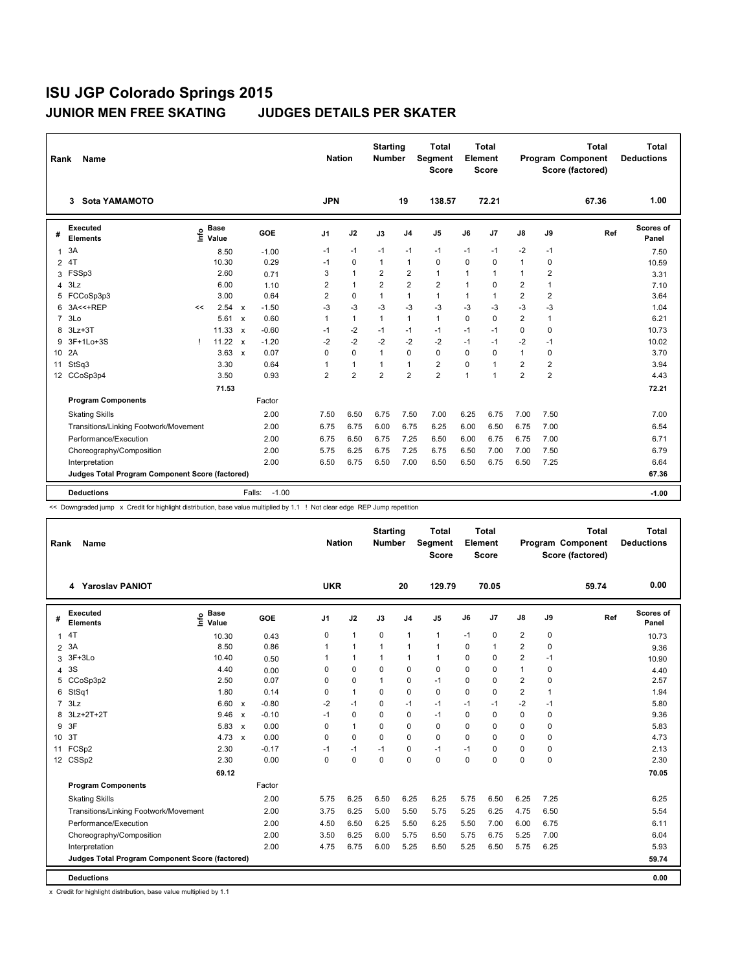| Rank            | Name                                            |              |                                             |                           |                   | <b>Nation</b>  |                | <b>Starting</b><br><b>Number</b> |                         | <b>Total</b><br>Segment<br><b>Score</b> |                | <b>Total</b><br>Element<br><b>Score</b> |                |                | <b>Total</b><br>Program Component<br>Score (factored) | <b>Total</b><br><b>Deductions</b> |
|-----------------|-------------------------------------------------|--------------|---------------------------------------------|---------------------------|-------------------|----------------|----------------|----------------------------------|-------------------------|-----------------------------------------|----------------|-----------------------------------------|----------------|----------------|-------------------------------------------------------|-----------------------------------|
|                 | <b>Sota YAMAMOTO</b><br>3                       |              |                                             |                           |                   | <b>JPN</b>     |                |                                  | 19                      | 138.57                                  |                | 72.21                                   |                |                | 67.36                                                 | 1.00                              |
| #               | <b>Executed</b><br><b>Elements</b>              |              | <b>Base</b><br>e <sup>Base</sup><br>⊆ Value |                           | GOE               | J1             | J2             | J3                               | J <sub>4</sub>          | J5                                      | J6             | J <sub>7</sub>                          | J8             | J9             | Ref                                                   | Scores of<br>Panel                |
| $\mathbf{1}$    | 3A                                              |              | 8.50                                        |                           | $-1.00$           | $-1$           | $-1$           | $-1$                             | $-1$                    | $-1$                                    | $-1$           | $-1$                                    | $-2$           | $-1$           |                                                       | 7.50                              |
| $\overline{2}$  | 4T                                              |              | 10.30                                       |                           | 0.29              | $-1$           | 0              | $\mathbf{1}$                     | $\mathbf{1}$            | $\Omega$                                | 0              | $\mathbf 0$                             | $\mathbf{1}$   | 0              |                                                       | 10.59                             |
| 3               | FSSp3                                           |              | 2.60                                        |                           | 0.71              | 3              | $\mathbf{1}$   | $\overline{2}$                   | $\overline{\mathbf{c}}$ | $\mathbf{1}$                            | $\overline{1}$ | $\overline{1}$                          | $\mathbf{1}$   | $\overline{2}$ |                                                       | 3.31                              |
| 4               | 3Lz                                             |              | 6.00                                        |                           | 1.10              | $\overline{2}$ | $\mathbf{1}$   | $\overline{2}$                   | $\overline{2}$          | $\overline{2}$                          | 1              | $\Omega$                                | $\overline{2}$ | $\overline{1}$ |                                                       | 7.10                              |
| 5               | FCCoSp3p3                                       |              | 3.00                                        |                           | 0.64              | $\overline{2}$ | $\Omega$       | $\mathbf{1}$                     | $\mathbf{1}$            | 1                                       | $\mathbf{1}$   | $\mathbf{1}$                            | 2              | 2              |                                                       | 3.64                              |
| 6               | 3A<<+REP                                        | <<           | 2.54                                        | $\mathbf{x}$              | $-1.50$           | $-3$           | $-3$           | $-3$                             | $-3$                    | $-3$                                    | $-3$           | $-3$                                    | $-3$           | $-3$           |                                                       | 1.04                              |
| $\overline{7}$  | 3 <sub>LO</sub>                                 |              | 5.61                                        | $\boldsymbol{\mathsf{x}}$ | 0.60              | $\mathbf{1}$   | $\mathbf{1}$   | $\mathbf{1}$                     | $\mathbf{1}$            | $\mathbf{1}$                            | $\Omega$       | $\Omega$                                | $\overline{2}$ | $\mathbf{1}$   |                                                       | 6.21                              |
| 8               | $3Lz + 3T$                                      |              | 11.33                                       | $\boldsymbol{\mathsf{x}}$ | $-0.60$           | $-1$           | $-2$           | $-1$                             | $-1$                    | $-1$                                    | $-1$           | $-1$                                    | 0              | 0              |                                                       | 10.73                             |
| 9               | 3F+1Lo+3S                                       | $\mathbf{I}$ | $11.22 \times$                              |                           | $-1.20$           | $-2$           | $-2$           | $-2$                             | $-2$                    | $-2$                                    | $-1$           | $-1$                                    | $-2$           | $-1$           |                                                       | 10.02                             |
| 10 <sup>°</sup> | 2A                                              |              | 3.63                                        | $\mathsf{x}$              | 0.07              | $\Omega$       | $\Omega$       | $\mathbf{1}$                     | $\Omega$                | $\Omega$                                | $\Omega$       | $\Omega$                                | $\mathbf{1}$   | $\mathbf 0$    |                                                       | 3.70                              |
| 11              | StSq3                                           |              | 3.30                                        |                           | 0.64              |                | $\mathbf{1}$   | 1                                | $\mathbf{1}$            | 2                                       | $\Omega$       | $\overline{1}$                          | $\overline{2}$ | $\overline{2}$ |                                                       | 3.94                              |
| 12 <sup>2</sup> | CCoSp3p4                                        |              | 3.50                                        |                           | 0.93              | $\overline{2}$ | $\overline{2}$ | $\overline{2}$                   | $\overline{2}$          | $\overline{2}$                          | 1              | $\overline{1}$                          | $\overline{2}$ | $\overline{2}$ |                                                       | 4.43                              |
|                 |                                                 |              | 71.53                                       |                           |                   |                |                |                                  |                         |                                         |                |                                         |                |                |                                                       | 72.21                             |
|                 | <b>Program Components</b>                       |              |                                             |                           | Factor            |                |                |                                  |                         |                                         |                |                                         |                |                |                                                       |                                   |
|                 | <b>Skating Skills</b>                           |              |                                             |                           | 2.00              | 7.50           | 6.50           | 6.75                             | 7.50                    | 7.00                                    | 6.25           | 6.75                                    | 7.00           | 7.50           |                                                       | 7.00                              |
|                 | Transitions/Linking Footwork/Movement           |              |                                             |                           | 2.00              | 6.75           | 6.75           | 6.00                             | 6.75                    | 6.25                                    | 6.00           | 6.50                                    | 6.75           | 7.00           |                                                       | 6.54                              |
|                 | Performance/Execution                           |              |                                             |                           | 2.00              | 6.75           | 6.50           | 6.75                             | 7.25                    | 6.50                                    | 6.00           | 6.75                                    | 6.75           | 7.00           |                                                       | 6.71                              |
|                 | Choreography/Composition                        |              |                                             |                           | 2.00              | 5.75           | 6.25           | 6.75                             | 7.25                    | 6.75                                    | 6.50           | 7.00                                    | 7.00           | 7.50           |                                                       | 6.79                              |
|                 | Interpretation                                  |              |                                             |                           | 2.00              | 6.50           | 6.75           | 6.50                             | 7.00                    | 6.50                                    | 6.50           | 6.75                                    | 6.50           | 7.25           |                                                       | 6.64                              |
|                 | Judges Total Program Component Score (factored) |              |                                             |                           |                   |                |                |                                  |                         |                                         |                |                                         |                |                |                                                       | 67.36                             |
|                 | <b>Deductions</b>                               |              |                                             |                           | $-1.00$<br>Falls: |                |                |                                  |                         |                                         |                |                                         |                |                |                                                       | $-1.00$                           |

<< Downgraded jump x Credit for highlight distribution, base value multiplied by 1.1 ! Not clear edge REP Jump repetition

| Rank           | Name                                            |                              |              |         |            | <b>Nation</b> | <b>Starting</b><br><b>Number</b> |                | <b>Total</b><br>Segment<br><b>Score</b> |             | <b>Total</b><br>Element<br><b>Score</b> |                |                | <b>Total</b><br>Program Component<br>Score (factored) | <b>Total</b><br><b>Deductions</b> |
|----------------|-------------------------------------------------|------------------------------|--------------|---------|------------|---------------|----------------------------------|----------------|-----------------------------------------|-------------|-----------------------------------------|----------------|----------------|-------------------------------------------------------|-----------------------------------|
|                | 4 Yaroslav PANIOT                               |                              |              |         | <b>UKR</b> |               |                                  | 20             | 129.79                                  |             | 70.05                                   |                |                | 59.74                                                 | 0.00                              |
| #              | <b>Executed</b><br><b>Elements</b>              | <b>Base</b><br>lnfo<br>Value |              | GOE     | J1         | J2            | J3                               | J <sub>4</sub> | J <sub>5</sub>                          | J6          | J7                                      | J8             | J9             | Ref                                                   | <b>Scores of</b><br>Panel         |
| $\mathbf 1$    | 4T                                              | 10.30                        |              | 0.43    | 0          | 1             | 0                                | 1              | $\mathbf{1}$                            | $-1$        | 0                                       | 2              | 0              |                                                       | 10.73                             |
| $\overline{2}$ | 3A                                              | 8.50                         |              | 0.86    | 1          | 1             | $\mathbf{1}$                     | $\mathbf{1}$   | $\mathbf{1}$                            | 0           | $\overline{1}$                          | $\overline{2}$ | 0              |                                                       | 9.36                              |
| 3              | 3F+3Lo                                          | 10.40                        |              | 0.50    |            | 1             | 1                                | $\mathbf{1}$   | 1                                       | 0           | $\mathbf 0$                             | $\overline{2}$ | $-1$           |                                                       | 10.90                             |
| 4              | 3S                                              | 4.40                         |              | 0.00    | 0          | 0             | 0                                | 0              | $\mathbf 0$                             | 0           | 0                                       | 1              | 0              |                                                       | 4.40                              |
| 5              | CCoSp3p2                                        | 2.50                         |              | 0.07    | 0          | 0             | 1                                | 0              | $-1$                                    | 0           | $\mathbf 0$                             | 2              | 0              |                                                       | 2.57                              |
| 6              | StSq1                                           | 1.80                         |              | 0.14    | 0          | 1             | $\Omega$                         | 0              | $\Omega$                                | 0           | $\mathbf 0$                             | 2              | $\overline{1}$ |                                                       | 1.94                              |
|                | 7.3Lz                                           | 6.60 x                       |              | $-0.80$ | $-2$       | $-1$          | 0                                | $-1$           | $-1$                                    | $-1$        | $-1$                                    | $-2$           | $-1$           |                                                       | 5.80                              |
| 8              | 3Lz+2T+2T                                       | 9.46                         | $\mathbf{x}$ | $-0.10$ | $-1$       | 0             | 0                                | 0              | $-1$                                    | 0           | $\mathbf 0$                             | 0              | 0              |                                                       | 9.36                              |
| 9              | 3F                                              | $5.83 \times$                |              | 0.00    | 0          | 1             | 0                                | 0              | 0                                       | 0           | 0                                       | 0              | 0              |                                                       | 5.83                              |
| 10 3T          |                                                 | 4.73 $\times$                |              | 0.00    | 0          | 0             | $\Omega$                         | 0              | 0                                       | $\Omega$    | 0                                       | 0              | 0              |                                                       | 4.73                              |
|                | 11 FCSp2                                        | 2.30                         |              | $-0.17$ | $-1$       | $-1$          | $-1$                             | 0              | $-1$                                    | $-1$        | 0                                       | 0              | 0              |                                                       | 2.13                              |
|                | 12 CSSp2                                        | 2.30                         |              | 0.00    | 0          | 0             | 0                                | 0              | 0                                       | $\mathbf 0$ | 0                                       | 0              | 0              |                                                       | 2.30                              |
|                |                                                 | 69.12                        |              |         |            |               |                                  |                |                                         |             |                                         |                |                |                                                       | 70.05                             |
|                | <b>Program Components</b>                       |                              |              | Factor  |            |               |                                  |                |                                         |             |                                         |                |                |                                                       |                                   |
|                | <b>Skating Skills</b>                           |                              |              | 2.00    | 5.75       | 6.25          | 6.50                             | 6.25           | 6.25                                    | 5.75        | 6.50                                    | 6.25           | 7.25           |                                                       | 6.25                              |
|                | Transitions/Linking Footwork/Movement           |                              |              | 2.00    | 3.75       | 6.25          | 5.00                             | 5.50           | 5.75                                    | 5.25        | 6.25                                    | 4.75           | 6.50           |                                                       | 5.54                              |
|                | Performance/Execution                           |                              |              | 2.00    | 4.50       | 6.50          | 6.25                             | 5.50           | 6.25                                    | 5.50        | 7.00                                    | 6.00           | 6.75           |                                                       | 6.11                              |
|                | Choreography/Composition                        |                              |              | 2.00    | 3.50       | 6.25          | 6.00                             | 5.75           | 6.50                                    | 5.75        | 6.75                                    | 5.25           | 7.00           |                                                       | 6.04                              |
|                | Interpretation                                  |                              |              | 2.00    | 4.75       | 6.75          | 6.00                             | 5.25           | 6.50                                    | 5.25        | 6.50                                    | 5.75           | 6.25           |                                                       | 5.93                              |
|                | Judges Total Program Component Score (factored) |                              |              |         |            |               |                                  |                |                                         |             |                                         |                |                |                                                       | 59.74                             |
|                | <b>Deductions</b>                               |                              |              |         |            |               |                                  |                |                                         |             |                                         |                |                |                                                       | 0.00                              |

x Credit for highlight distribution, base value multiplied by 1.1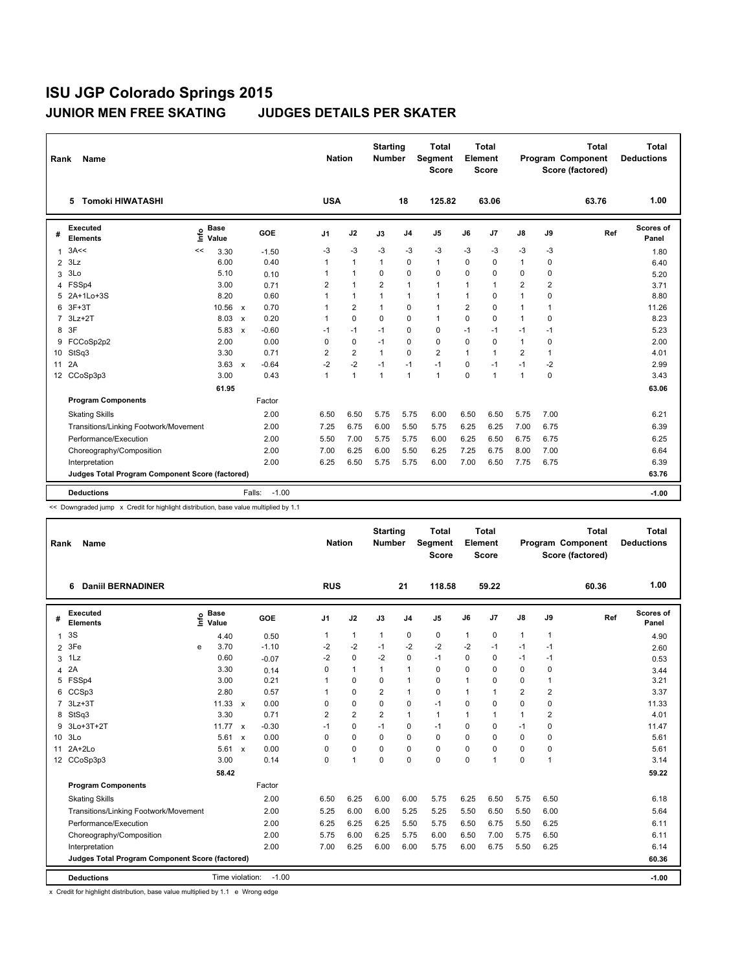| Rank         | <b>Name</b>                                            |                              |                           |         | <b>Nation</b>  |                | <b>Starting</b><br><b>Number</b> |                | <b>Total</b><br>Segment<br><b>Score</b> |                | <b>Total</b><br>Element<br><b>Score</b> |                         |                | <b>Total</b><br>Program Component<br>Score (factored) | <b>Total</b><br><b>Deductions</b> |
|--------------|--------------------------------------------------------|------------------------------|---------------------------|---------|----------------|----------------|----------------------------------|----------------|-----------------------------------------|----------------|-----------------------------------------|-------------------------|----------------|-------------------------------------------------------|-----------------------------------|
|              | <b>Tomoki HIWATASHI</b><br>5                           |                              |                           |         | <b>USA</b>     |                |                                  | 18             | 125.82                                  |                | 63.06                                   |                         |                | 63.76                                                 | 1.00                              |
| #            | Executed<br><b>Elements</b>                            | <b>Base</b><br>lnfo<br>Value |                           | GOE     | J1             | J2             | J3                               | J <sub>4</sub> | J <sub>5</sub>                          | J6             | J <sub>7</sub>                          | $\mathsf{J}8$           | J9             | Ref                                                   | Scores of<br>Panel                |
| $\mathbf{1}$ | 3A<<                                                   | 3.30<br><<                   |                           | $-1.50$ | -3             | -3             | $-3$                             | -3             | -3                                      | -3             | -3                                      | -3                      | -3             |                                                       | 1.80                              |
| 2            | 3Lz                                                    | 6.00                         |                           | 0.40    | $\mathbf{1}$   | 1              | $\mathbf{1}$                     | $\mathbf 0$    | 1                                       | $\Omega$       | 0                                       | $\mathbf{1}$            | $\Omega$       |                                                       | 6.40                              |
| 3            | 3Lo                                                    | 5.10                         |                           | 0.10    | 1              | 1              | 0                                | $\mathbf 0$    | 0                                       | $\Omega$       | 0                                       | 0                       | 0              |                                                       | 5.20                              |
| 4            | FSSp4                                                  | 3.00                         |                           | 0.71    | $\overline{2}$ | $\mathbf{1}$   | $\overline{2}$                   | 1              | 1                                       | 1              | $\overline{1}$                          | $\overline{\mathbf{c}}$ | $\overline{2}$ |                                                       | 3.71                              |
| 5            | 2A+1Lo+3S                                              | 8.20                         |                           | 0.60    | $\mathbf{1}$   | 1              | $\mathbf{1}$                     | $\mathbf{1}$   | 1                                       | 1              | 0                                       | 1                       | 0              |                                                       | 8.80                              |
| 6            | $3F+3T$                                                | 10.56                        | $\mathsf{x}$              | 0.70    | 1              | $\overline{2}$ | $\mathbf{1}$                     | $\mathbf 0$    | $\mathbf{1}$                            | $\overline{2}$ | 0                                       | 1                       | 1              |                                                       | 11.26                             |
| 7            | $3Lz + 2T$                                             | 8.03                         | $\boldsymbol{\mathsf{x}}$ | 0.20    | 1              | $\Omega$       | 0                                | $\mathbf 0$    | 1                                       | $\Omega$       | $\mathbf 0$                             | $\mathbf{1}$            | 0              |                                                       | 8.23                              |
| 8            | 3F                                                     | 5.83                         | $\boldsymbol{\mathsf{x}}$ | $-0.60$ | $-1$           | $-1$           | $-1$                             | $\mathbf 0$    | 0                                       | $-1$           | $-1$                                    | $-1$                    | $-1$           |                                                       | 5.23                              |
| 9            | FCCoSp2p2                                              | 2.00                         |                           | 0.00    | $\Omega$       | $\Omega$       | $-1$                             | $\Omega$       | $\Omega$                                | $\Omega$       | $\mathbf 0$                             | $\mathbf{1}$            | $\mathbf 0$    |                                                       | 2.00                              |
| 10           | StSq3                                                  | 3.30                         |                           | 0.71    | $\overline{2}$ | $\overline{2}$ | $\mathbf{1}$                     | $\mathbf 0$    | $\overline{2}$                          | $\mathbf{1}$   | $\overline{1}$                          | $\overline{2}$          | $\mathbf{1}$   |                                                       | 4.01                              |
| 11           | 2A                                                     | 3.63                         | $\boldsymbol{\mathsf{x}}$ | $-0.64$ | $-2$           | $-2$           | $-1$                             | $-1$           | $-1$                                    | 0              | $-1$                                    | $-1$                    | $-2$           |                                                       | 2.99                              |
| 12           | CCoSp3p3                                               | 3.00                         |                           | 0.43    | $\mathbf{1}$   | 1              | 1                                | $\mathbf{1}$   | 1                                       | $\Omega$       | $\overline{1}$                          | $\mathbf{1}$            | $\Omega$       |                                                       | 3.43                              |
|              |                                                        | 61.95                        |                           |         |                |                |                                  |                |                                         |                |                                         |                         |                |                                                       | 63.06                             |
|              | <b>Program Components</b>                              |                              |                           | Factor  |                |                |                                  |                |                                         |                |                                         |                         |                |                                                       |                                   |
|              | <b>Skating Skills</b>                                  |                              |                           | 2.00    | 6.50           | 6.50           | 5.75                             | 5.75           | 6.00                                    | 6.50           | 6.50                                    | 5.75                    | 7.00           |                                                       | 6.21                              |
|              | Transitions/Linking Footwork/Movement                  |                              |                           | 2.00    | 7.25           | 6.75           | 6.00                             | 5.50           | 5.75                                    | 6.25           | 6.25                                    | 7.00                    | 6.75           |                                                       | 6.39                              |
|              | Performance/Execution                                  |                              |                           | 2.00    | 5.50           | 7.00           | 5.75                             | 5.75           | 6.00                                    | 6.25           | 6.50                                    | 6.75                    | 6.75           |                                                       | 6.25                              |
|              | Choreography/Composition                               |                              |                           | 2.00    | 7.00           | 6.25           | 6.00                             | 5.50           | 6.25                                    | 7.25           | 6.75                                    | 8.00                    | 7.00           |                                                       | 6.64                              |
|              | Interpretation                                         |                              |                           | 2.00    | 6.25           | 6.50           | 5.75                             | 5.75           | 6.00                                    | 7.00           | 6.50                                    | 7.75                    | 6.75           |                                                       | 6.39                              |
|              | <b>Judges Total Program Component Score (factored)</b> |                              |                           |         |                |                |                                  |                |                                         |                |                                         |                         |                |                                                       | 63.76                             |
|              | <b>Deductions</b>                                      |                              | Falls:                    | $-1.00$ |                |                |                                  |                |                                         |                |                                         |                         |                |                                                       | $-1.00$                           |

<< Downgraded jump x Credit for highlight distribution, base value multiplied by 1.1

| Rank           | <b>Name</b>                                     |              |                      |         | <b>Nation</b>  |                | <b>Starting</b><br><b>Number</b> |                | <b>Total</b><br>Segment<br><b>Score</b> |              | <b>Total</b><br>Element<br><b>Score</b> |                |                | <b>Total</b><br>Program Component<br>Score (factored) | <b>Total</b><br><b>Deductions</b> |
|----------------|-------------------------------------------------|--------------|----------------------|---------|----------------|----------------|----------------------------------|----------------|-----------------------------------------|--------------|-----------------------------------------|----------------|----------------|-------------------------------------------------------|-----------------------------------|
|                | <b>Daniil BERNADINER</b><br>6                   |              |                      |         | <b>RUS</b>     |                |                                  | 21             | 118.58                                  |              | 59.22                                   |                |                | 60.36                                                 | 1.00                              |
| #              | <b>Executed</b><br><b>Elements</b>              | $\circ$<br>Έ | <b>Base</b><br>Value | GOE     | J <sub>1</sub> | J2             | J3                               | J <sub>4</sub> | J <sub>5</sub>                          | J6           | J7                                      | J8             | J9             | Ref                                                   | <b>Scores of</b><br>Panel         |
| $\mathbf 1$    | 3S                                              |              | 4.40                 | 0.50    | 1              | 1              | $\mathbf{1}$                     | 0              | 0                                       | $\mathbf{1}$ | $\mathbf 0$                             | $\mathbf{1}$   | 1              |                                                       | 4.90                              |
| $\overline{2}$ | 3Fe                                             | e            | 3.70                 | $-1.10$ | -2             | $-2$           | $-1$                             | $-2$           | $-2$                                    | -2           | $-1$                                    | -1             | -1             |                                                       | 2.60                              |
| 3              | 1Lz                                             |              | 0.60                 | $-0.07$ | $-2$           | $\mathbf 0$    | $-2$                             | 0              | $-1$                                    | $\Omega$     | $\mathbf 0$                             | $-1$           | -1             |                                                       | 0.53                              |
| 4              | 2A                                              |              | 3.30                 | 0.14    | 0              | 1              | $\mathbf{1}$                     | 1              | 0                                       | 0            | $\mathbf 0$                             | 0              | 0              |                                                       | 3.44                              |
| 5              | FSSp4                                           |              | 3.00                 | 0.21    | 1              | 0              | 0                                | 1              | 0                                       |              | $\mathbf 0$                             | 0              | $\mathbf{1}$   |                                                       | 3.21                              |
| 6              | CCSp3                                           |              | 2.80                 | 0.57    | 1              | 0              | $\overline{2}$                   | 1              | $\mathbf 0$                             | 1            | $\overline{1}$                          | $\overline{2}$ | $\overline{2}$ |                                                       | 3.37                              |
|                | 7 3Lz+3T                                        |              | $11.33 \times$       | 0.00    | 0              | 0              | 0                                | 0              | $-1$                                    | 0            | $\mathbf 0$                             | $\mathbf 0$    | 0              |                                                       | 11.33                             |
| 8              | StSq3                                           |              | 3.30                 | 0.71    | 2              | $\overline{2}$ | 2                                | 1              | $\mathbf{1}$                            | 1            | $\mathbf{1}$                            | $\mathbf{1}$   | $\overline{2}$ |                                                       | 4.01                              |
| 9              | $3L0+3T+2T$                                     |              | $11.77 \times$       | $-0.30$ | $-1$           | 0              | $-1$                             | 0              | $-1$                                    | $\Omega$     | $\mathbf 0$                             | $-1$           | 0              |                                                       | 11.47                             |
| 10             | 3Lo                                             |              | $5.61 \times$        | 0.00    | 0              | 0              | $\mathbf 0$                      | 0              | $\mathbf 0$                             | 0            | $\mathbf 0$                             | $\mathbf 0$    | 0              |                                                       | 5.61                              |
| 11             | $2A+2Lo$                                        |              | $5.61 \times$        | 0.00    | 0              | 0              | 0                                | $\Omega$       | $\mathbf 0$                             | $\Omega$     | $\Omega$                                | $\Omega$       | 0              |                                                       | 5.61                              |
|                | 12 CCoSp3p3                                     |              | 3.00                 | 0.14    | 0              | 1              | $\Omega$                         | 0              | 0                                       | $\Omega$     | $\blacktriangleleft$                    | 0              | $\mathbf{1}$   |                                                       | 3.14                              |
|                |                                                 |              | 58.42                |         |                |                |                                  |                |                                         |              |                                         |                |                |                                                       | 59.22                             |
|                | <b>Program Components</b>                       |              |                      | Factor  |                |                |                                  |                |                                         |              |                                         |                |                |                                                       |                                   |
|                | <b>Skating Skills</b>                           |              |                      | 2.00    | 6.50           | 6.25           | 6.00                             | 6.00           | 5.75                                    | 6.25         | 6.50                                    | 5.75           | 6.50           |                                                       | 6.18                              |
|                | Transitions/Linking Footwork/Movement           |              |                      | 2.00    | 5.25           | 6.00           | 6.00                             | 5.25           | 5.25                                    | 5.50         | 6.50                                    | 5.50           | 6.00           |                                                       | 5.64                              |
|                | Performance/Execution                           |              |                      | 2.00    | 6.25           | 6.25           | 6.25                             | 5.50           | 5.75                                    | 6.50         | 6.75                                    | 5.50           | 6.25           |                                                       | 6.11                              |
|                | Choreography/Composition                        |              |                      | 2.00    | 5.75           | 6.00           | 6.25                             | 5.75           | 6.00                                    | 6.50         | 7.00                                    | 5.75           | 6.50           |                                                       | 6.11                              |
|                | Interpretation                                  |              |                      | 2.00    | 7.00           | 6.25           | 6.00                             | 6.00           | 5.75                                    | 6.00         | 6.75                                    | 5.50           | 6.25           |                                                       | 6.14                              |
|                | Judges Total Program Component Score (factored) |              |                      |         |                |                |                                  |                |                                         |              |                                         |                |                |                                                       | 60.36                             |
|                | <b>Deductions</b>                               |              | Time violation:      | $-1.00$ |                |                |                                  |                |                                         |              |                                         |                |                |                                                       | $-1.00$                           |

x Credit for highlight distribution, base value multiplied by 1.1 e Wrong edge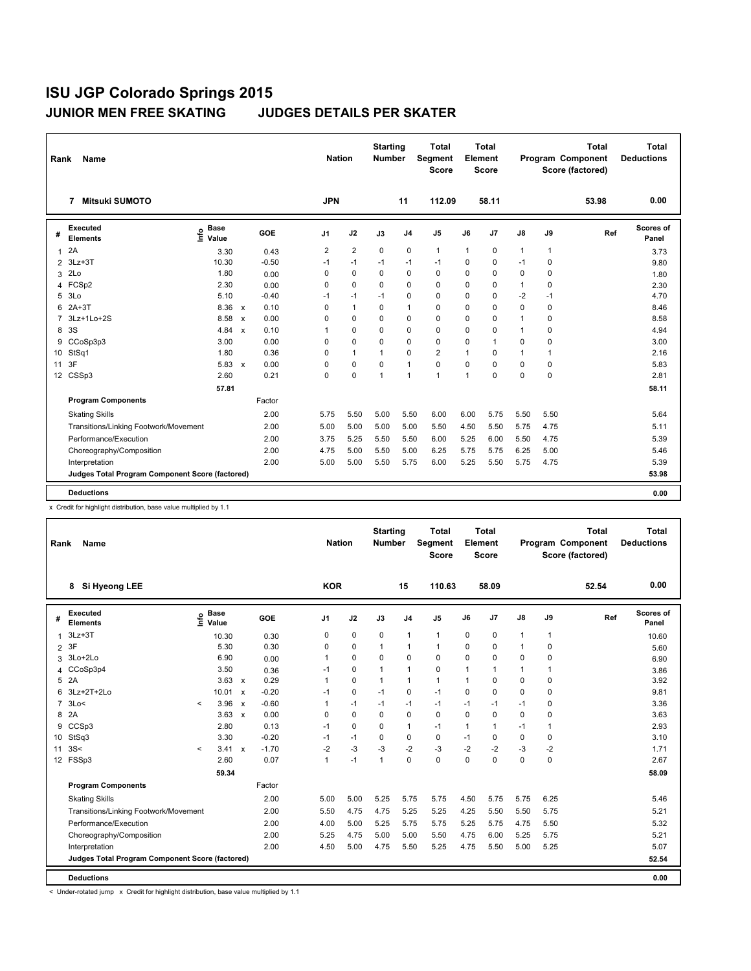| Rank               | <b>Name</b>                                            |                              |                           |         | <b>Nation</b>  |                | <b>Starting</b><br><b>Number</b> |                | Total<br>Segment<br><b>Score</b> |                | <b>Total</b><br>Element<br><b>Score</b> |              |              | <b>Total</b><br>Program Component<br>Score (factored) | <b>Total</b><br><b>Deductions</b> |
|--------------------|--------------------------------------------------------|------------------------------|---------------------------|---------|----------------|----------------|----------------------------------|----------------|----------------------------------|----------------|-----------------------------------------|--------------|--------------|-------------------------------------------------------|-----------------------------------|
| 7                  | <b>Mitsuki SUMOTO</b>                                  |                              |                           |         | <b>JPN</b>     |                |                                  | 11             | 112.09                           |                | 58.11                                   |              |              | 53.98                                                 | 0.00                              |
| #                  | <b>Executed</b><br><b>Elements</b>                     | <b>Base</b><br>lnfo<br>Value |                           | GOE     | J1             | J2             | J3                               | J <sub>4</sub> | J <sub>5</sub>                   | J6             | J7                                      | J8           | J9           | Ref                                                   | Scores of<br>Panel                |
| 2A<br>$\mathbf{1}$ |                                                        | 3.30                         |                           | 0.43    | $\overline{2}$ | $\overline{2}$ | 0                                | $\mathbf 0$    | 1                                | $\mathbf 1$    | 0                                       | $\mathbf{1}$ | $\mathbf{1}$ |                                                       | 3.73                              |
| 2                  | $3Lz + 3T$                                             | 10.30                        |                           | $-0.50$ | $-1$           | $-1$           | $-1$                             | $-1$           | $-1$                             | 0              | $\mathbf 0$                             | $-1$         | 0            |                                                       | 9.80                              |
| 3                  | 2 <sub>LO</sub>                                        | 1.80                         |                           | 0.00    | 0              | 0              | 0                                | $\mathbf 0$    | 0                                | 0              | 0                                       | 0            | 0            |                                                       | 1.80                              |
| 4                  | FCSp2                                                  | 2.30                         |                           | 0.00    | 0              | $\Omega$       | 0                                | $\Omega$       | $\Omega$                         | $\Omega$       | $\mathbf 0$                             | $\mathbf{1}$ | 0            |                                                       | 2.30                              |
| 5                  | 3Lo                                                    | 5.10                         |                           | $-0.40$ | $-1$           | $-1$           | $-1$                             | $\mathbf 0$    | $\Omega$                         | $\Omega$       | 0                                       | $-2$         | $-1$         |                                                       | 4.70                              |
| 6                  | $2A+3T$                                                | 8.36                         | $\mathsf{x}$              | 0.10    | 0              | 1              | 0                                | 1              | 0                                | 0              | $\mathbf 0$                             | $\mathbf 0$  | $\mathbf 0$  |                                                       | 8.46                              |
| $\overline{7}$     | $3Lz+1Lo+2S$                                           | 8.58                         | $\boldsymbol{\mathsf{x}}$ | 0.00    | 0              | 0              | 0                                | $\Omega$       | 0                                | $\Omega$       | $\Omega$                                | $\mathbf{1}$ | $\Omega$     |                                                       | 8.58                              |
| 3S<br>8            |                                                        | 4.84                         | $\boldsymbol{\mathsf{x}}$ | 0.10    | 1              | $\mathbf 0$    | $\Omega$                         | $\mathbf 0$    | 0                                | $\Omega$       | 0                                       | $\mathbf{1}$ | 0            |                                                       | 4.94                              |
| 9                  | CCoSp3p3                                               | 3.00                         |                           | 0.00    | $\Omega$       | $\Omega$       | 0                                | $\Omega$       | $\Omega$                         | $\Omega$       | $\overline{1}$                          | $\Omega$     | $\mathbf 0$  |                                                       | 3.00                              |
| 10                 | StSq1                                                  | 1.80                         |                           | 0.36    | 0              | 1              | 1                                | $\mathbf 0$    | $\overline{\mathbf{c}}$          | $\overline{1}$ | 0                                       | 1            | $\mathbf{1}$ |                                                       | 2.16                              |
| 3F<br>11           |                                                        | 5.83                         | $\mathbf{x}$              | 0.00    | 0              | 0              | 0                                | $\mathbf{1}$   | 0                                | $\Omega$       | $\Omega$                                | $\mathbf 0$  | 0            |                                                       | 5.83                              |
| 12                 | CSSp3                                                  | 2.60                         |                           | 0.21    | 0              | $\Omega$       | $\overline{1}$                   | 1              | 1                                | $\overline{1}$ | $\Omega$                                | $\Omega$     | $\Omega$     |                                                       | 2.81                              |
|                    |                                                        | 57.81                        |                           |         |                |                |                                  |                |                                  |                |                                         |              |              |                                                       | 58.11                             |
|                    | <b>Program Components</b>                              |                              |                           | Factor  |                |                |                                  |                |                                  |                |                                         |              |              |                                                       |                                   |
|                    | <b>Skating Skills</b>                                  |                              |                           | 2.00    | 5.75           | 5.50           | 5.00                             | 5.50           | 6.00                             | 6.00           | 5.75                                    | 5.50         | 5.50         |                                                       | 5.64                              |
|                    | Transitions/Linking Footwork/Movement                  |                              |                           | 2.00    | 5.00           | 5.00           | 5.00                             | 5.00           | 5.50                             | 4.50           | 5.50                                    | 5.75         | 4.75         |                                                       | 5.11                              |
|                    | Performance/Execution                                  |                              |                           | 2.00    | 3.75           | 5.25           | 5.50                             | 5.50           | 6.00                             | 5.25           | 6.00                                    | 5.50         | 4.75         |                                                       | 5.39                              |
|                    | Choreography/Composition                               |                              |                           | 2.00    | 4.75           | 5.00           | 5.50                             | 5.00           | 6.25                             | 5.75           | 5.75                                    | 6.25         | 5.00         |                                                       | 5.46                              |
|                    | Interpretation                                         |                              |                           | 2.00    | 5.00           | 5.00           | 5.50                             | 5.75           | 6.00                             | 5.25           | 5.50                                    | 5.75         | 4.75         |                                                       | 5.39                              |
|                    | <b>Judges Total Program Component Score (factored)</b> |                              |                           |         |                |                |                                  |                |                                  |                |                                         |              |              |                                                       | 53.98                             |
|                    | <b>Deductions</b>                                      |                              |                           |         |                |                |                                  |                |                                  |                |                                         |              |              |                                                       | 0.00                              |

x Credit for highlight distribution, base value multiplied by 1.1

| Rank           | Name                                            |              |                      |              |         |                | <b>Nation</b> |          | <b>Starting</b><br><b>Number</b> |                | <b>Total</b><br>Segment<br><b>Score</b> |          | <b>Total</b><br>Element<br><b>Score</b> |             |              | <b>Total</b><br>Program Component<br>Score (factored) | <b>Total</b><br><b>Deductions</b> |
|----------------|-------------------------------------------------|--------------|----------------------|--------------|---------|----------------|---------------|----------|----------------------------------|----------------|-----------------------------------------|----------|-----------------------------------------|-------------|--------------|-------------------------------------------------------|-----------------------------------|
|                | Si Hyeong LEE<br>8                              |              |                      |              |         | <b>KOR</b>     |               |          |                                  | 15             | 110.63                                  |          | 58.09                                   |             |              | 52.54                                                 | 0.00                              |
| #              | <b>Executed</b><br><b>Elements</b>              | $\circ$<br>Έ | <b>Base</b><br>Value |              | GOE     | J <sub>1</sub> |               | J2       | J3                               | J <sub>4</sub> | J <sub>5</sub>                          | J6       | J7                                      | J8          | J9           | Ref                                                   | Scores of<br>Panel                |
| $\mathbf{1}$   | $3Lz + 3T$                                      |              | 10.30                |              | 0.30    | 0              |               | 0        | $\Omega$                         | $\mathbf{1}$   | $\mathbf{1}$                            | 0        | 0                                       | $\mathbf 1$ | $\mathbf{1}$ |                                                       | 10.60                             |
| $\overline{2}$ | 3F                                              |              | 5.30                 |              | 0.30    | 0              |               | 0        | 1                                | 1              | $\mathbf{1}$                            | $\Omega$ | $\mathbf 0$                             | 1           | $\Omega$     |                                                       | 5.60                              |
| 3              | 3Lo+2Lo                                         |              | 6.90                 |              | 0.00    | 1              |               | 0        | $\Omega$                         | $\mathbf 0$    | $\Omega$                                | $\Omega$ | $\mathbf 0$                             | $\Omega$    | 0            |                                                       | 6.90                              |
| 4              | CCoSp3p4                                        |              | 3.50                 |              | 0.36    | $-1$           |               | 0        | 1                                | 1              | $\mathbf 0$                             | 1        | $\mathbf{1}$                            | 1           | $\mathbf{1}$ |                                                       | 3.86                              |
| 5 2A           |                                                 |              | $3.63 \times$        |              | 0.29    | 1              |               | 0        | $\mathbf{1}$                     | 1              | $\mathbf{1}$                            |          | $\mathbf 0$                             | $\Omega$    | $\Omega$     |                                                       | 3.92                              |
| 6              | $3Lz+2T+2L0$                                    |              | 10.01 x              |              | $-0.20$ | $-1$           |               | 0        | $-1$                             | $\mathbf 0$    | $-1$                                    | $\Omega$ | $\Omega$                                | $\Omega$    | $\Omega$     |                                                       | 9.81                              |
|                | 7 3Lo<                                          | $\prec$      | 3.96                 | $\mathsf{x}$ | $-0.60$ | 1              |               | $-1$     | -1                               | $-1$           | $-1$                                    | $-1$     | $-1$                                    | $-1$        | 0            |                                                       | 3.36                              |
| 8              | 2A                                              |              | $3.63 \times$        |              | 0.00    | 0              |               | $\Omega$ | $\Omega$                         | 0              | 0                                       | $\Omega$ | $\Omega$                                | 0           | 0            |                                                       | 3.63                              |
| 9              | CCSp3                                           |              | 2.80                 |              | 0.13    | $-1$           |               | 0        | $\Omega$                         | $\mathbf{1}$   | $-1$                                    | 1        | $\mathbf{1}$                            | $-1$        | $\mathbf{1}$ |                                                       | 2.93                              |
| 10             | StSq3                                           |              | 3.30                 |              | $-0.20$ | $-1$           |               | $-1$     | 0                                | 0              | 0                                       | $-1$     | 0                                       | 0           | 0            |                                                       | 3.10                              |
| 11 3S<         |                                                 | $\,<\,$      | 3.41 x               |              | $-1.70$ | $-2$           |               | $-3$     | $-3$                             | $-2$           | $-3$                                    | $-2$     | $-2$                                    | $-3$        | $-2$         |                                                       | 1.71                              |
|                | 12 FSSp3                                        |              | 2.60                 |              | 0.07    | $\mathbf{1}$   |               | $-1$     | $\mathbf{1}$                     | 0              | $\Omega$                                | $\Omega$ | $\mathbf 0$                             | $\mathbf 0$ | 0            |                                                       | 2.67                              |
|                |                                                 |              | 59.34                |              |         |                |               |          |                                  |                |                                         |          |                                         |             |              |                                                       | 58.09                             |
|                | <b>Program Components</b>                       |              |                      |              | Factor  |                |               |          |                                  |                |                                         |          |                                         |             |              |                                                       |                                   |
|                | <b>Skating Skills</b>                           |              |                      |              | 2.00    | 5.00           |               | 5.00     | 5.25                             | 5.75           | 5.75                                    | 4.50     | 5.75                                    | 5.75        | 6.25         |                                                       | 5.46                              |
|                | Transitions/Linking Footwork/Movement           |              |                      |              | 2.00    | 5.50           |               | 4.75     | 4.75                             | 5.25           | 5.25                                    | 4.25     | 5.50                                    | 5.50        | 5.75         |                                                       | 5.21                              |
|                | Performance/Execution                           |              |                      |              | 2.00    | 4.00           |               | 5.00     | 5.25                             | 5.75           | 5.75                                    | 5.25     | 5.75                                    | 4.75        | 5.50         |                                                       | 5.32                              |
|                | Choreography/Composition                        |              |                      |              | 2.00    | 5.25           |               | 4.75     | 5.00                             | 5.00           | 5.50                                    | 4.75     | 6.00                                    | 5.25        | 5.75         |                                                       | 5.21                              |
|                | Interpretation                                  |              |                      |              | 2.00    | 4.50           |               | 5.00     | 4.75                             | 5.50           | 5.25                                    | 4.75     | 5.50                                    | 5.00        | 5.25         |                                                       | 5.07                              |
|                | Judges Total Program Component Score (factored) |              |                      |              |         |                |               |          |                                  |                |                                         |          |                                         |             |              |                                                       | 52.54                             |
|                | <b>Deductions</b>                               |              |                      |              |         |                |               |          |                                  |                |                                         |          |                                         |             |              |                                                       | 0.00                              |

< Under-rotated jump x Credit for highlight distribution, base value multiplied by 1.1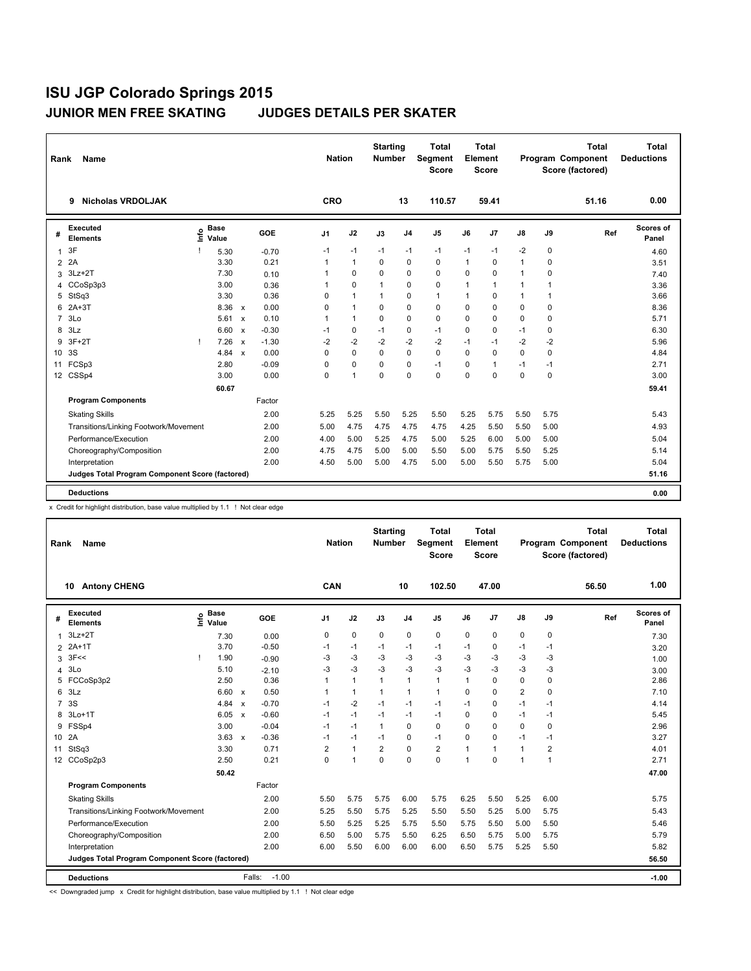| Rank            | <b>Name</b>                                     |    |                      |                           |         |              | <b>Nation</b> | <b>Starting</b><br><b>Number</b> |                | <b>Total</b><br>Segment<br><b>Score</b> |                | <b>Total</b><br>Element<br><b>Score</b> |                |              | <b>Total</b><br>Program Component<br>Score (factored) | Total<br><b>Deductions</b> |
|-----------------|-------------------------------------------------|----|----------------------|---------------------------|---------|--------------|---------------|----------------------------------|----------------|-----------------------------------------|----------------|-----------------------------------------|----------------|--------------|-------------------------------------------------------|----------------------------|
|                 | <b>Nicholas VRDOLJAK</b><br>9                   |    |                      |                           |         | CRO          |               |                                  | 13             | 110.57                                  |                | 59.41                                   |                |              | 51.16                                                 | 0.00                       |
| #               | <b>Executed</b><br><b>Elements</b>              | ۴ô | <b>Base</b><br>Value |                           | GOE     | J1           | J2            | J3                               | J <sub>4</sub> | J5                                      | J6             | J7                                      | J8             | J9           | Ref                                                   | Scores of<br>Panel         |
| $\mathbf{1}$    | 3F                                              |    | 5.30                 |                           | $-0.70$ | $-1$         | $-1$          | $-1$                             | $-1$           | $-1$                                    | $-1$           | $-1$                                    | -2             | 0            |                                                       | 4.60                       |
| 2               | 2A                                              |    | 3.30                 |                           | 0.21    | $\mathbf{1}$ | 1             | $\Omega$                         | $\mathbf 0$    | 0                                       | $\overline{1}$ | 0                                       | $\overline{1}$ | 0            |                                                       | 3.51                       |
| 3               | $3Lz + 2T$                                      |    | 7.30                 |                           | 0.10    | 1            | $\Omega$      | 0                                | $\mathbf 0$    | 0                                       | $\Omega$       | $\mathbf 0$                             | $\mathbf{1}$   | $\mathbf 0$  |                                                       | 7.40                       |
| 4               | CCoSp3p3                                        |    | 3.00                 |                           | 0.36    | 1            | $\mathbf 0$   | $\mathbf{1}$                     | $\mathbf 0$    | 0                                       | $\overline{1}$ | $\overline{1}$                          | $\mathbf{1}$   | 1            |                                                       | 3.36                       |
| 5               | StSq3                                           |    | 3.30                 |                           | 0.36    | 0            | 1             | $\mathbf{1}$                     | $\mathbf 0$    | 1                                       | $\overline{1}$ | 0                                       | $\mathbf{1}$   | $\mathbf{1}$ |                                                       | 3.66                       |
| 6               | $2A+3T$                                         |    | 8.36                 | $\mathbf{x}$              | 0.00    | 0            | 1             | 0                                | $\Omega$       | $\Omega$                                | $\Omega$       | $\mathbf 0$                             | $\mathbf 0$    | $\mathbf 0$  |                                                       | 8.36                       |
| $\overline{7}$  | 3Lo                                             |    | 5.61                 | $\boldsymbol{\mathsf{x}}$ | 0.10    | 1            | $\mathbf{1}$  | 0                                | $\Omega$       | $\Omega$                                | $\Omega$       | $\Omega$                                | $\Omega$       | $\Omega$     |                                                       | 5.71                       |
| 8               | 3Lz                                             |    | 6.60                 | $\boldsymbol{\mathsf{x}}$ | $-0.30$ | $-1$         | $\Omega$      | $-1$                             | $\mathbf 0$    | $-1$                                    | $\Omega$       | 0                                       | $-1$           | $\Omega$     |                                                       | 6.30                       |
| 9               | $3F+2T$                                         |    | 7.26                 | $\boldsymbol{\mathsf{x}}$ | $-1.30$ | $-2$         | $-2$          | $-2$                             | $-2$           | $-2$                                    | $-1$           | $-1$                                    | $-2$           | $-2$         |                                                       | 5.96                       |
| 10 <sup>1</sup> | 3S                                              |    | 4.84                 | $\boldsymbol{\mathsf{x}}$ | 0.00    | 0            | $\mathbf 0$   | 0                                | $\mathbf 0$    | 0                                       | $\Omega$       | $\mathbf 0$                             | 0              | 0            |                                                       | 4.84                       |
| 11              | FCSp3                                           |    | 2.80                 |                           | $-0.09$ | 0            | $\Omega$      | 0                                | $\mathbf 0$    | $-1$                                    | $\Omega$       | $\overline{1}$                          | $-1$           | $-1$         |                                                       | 2.71                       |
| 12 <sup>2</sup> | CSSp4                                           |    | 3.00                 |                           | 0.00    | $\Omega$     | $\mathbf{1}$  | $\Omega$                         | $\Omega$       | $\Omega$                                | 0              | $\Omega$                                | $\Omega$       | $\mathbf 0$  |                                                       | 3.00                       |
|                 |                                                 |    | 60.67                |                           |         |              |               |                                  |                |                                         |                |                                         |                |              |                                                       | 59.41                      |
|                 | <b>Program Components</b>                       |    |                      |                           | Factor  |              |               |                                  |                |                                         |                |                                         |                |              |                                                       |                            |
|                 | <b>Skating Skills</b>                           |    |                      |                           | 2.00    | 5.25         | 5.25          | 5.50                             | 5.25           | 5.50                                    | 5.25           | 5.75                                    | 5.50           | 5.75         |                                                       | 5.43                       |
|                 | Transitions/Linking Footwork/Movement           |    |                      |                           | 2.00    | 5.00         | 4.75          | 4.75                             | 4.75           | 4.75                                    | 4.25           | 5.50                                    | 5.50           | 5.00         |                                                       | 4.93                       |
|                 | Performance/Execution                           |    |                      |                           | 2.00    | 4.00         | 5.00          | 5.25                             | 4.75           | 5.00                                    | 5.25           | 6.00                                    | 5.00           | 5.00         |                                                       | 5.04                       |
|                 | Choreography/Composition                        |    |                      |                           | 2.00    | 4.75         | 4.75          | 5.00                             | 5.00           | 5.50                                    | 5.00           | 5.75                                    | 5.50           | 5.25         |                                                       | 5.14                       |
|                 | Interpretation                                  |    |                      |                           | 2.00    | 4.50         | 5.00          | 5.00                             | 4.75           | 5.00                                    | 5.00           | 5.50                                    | 5.75           | 5.00         |                                                       | 5.04                       |
|                 | Judges Total Program Component Score (factored) |    |                      |                           |         |              |               |                                  |                |                                         |                |                                         |                |              |                                                       | 51.16                      |
|                 | <b>Deductions</b>                               |    |                      |                           |         |              |               |                                  |                |                                         |                |                                         |                |              |                                                       | 0.00                       |
|                 |                                                 |    |                      |                           |         |              |               |                                  |                |                                         |                |                                         |                |              |                                                       |                            |

x Credit for highlight distribution, base value multiplied by 1.1 ! Not clear edge

| Rank            | <b>Name</b>                                     |                                      |               |                   | <b>Nation</b>  |              | <b>Starting</b><br><b>Number</b> |                | <b>Total</b><br>Segment<br><b>Score</b> |          | <b>Total</b><br>Element<br><b>Score</b> |                |                | <b>Total</b><br>Program Component<br>Score (factored) | <b>Total</b><br><b>Deductions</b> |
|-----------------|-------------------------------------------------|--------------------------------------|---------------|-------------------|----------------|--------------|----------------------------------|----------------|-----------------------------------------|----------|-----------------------------------------|----------------|----------------|-------------------------------------------------------|-----------------------------------|
|                 | <b>Antony CHENG</b><br>10                       |                                      |               |                   | CAN            |              |                                  | 10             | 102.50                                  |          | 47.00                                   |                |                | 56.50                                                 | 1.00                              |
| #               | <b>Executed</b><br><b>Elements</b>              | <b>Base</b><br>$\circ$<br>Έ<br>Value |               | GOE               | J <sub>1</sub> | J2           | J3                               | J <sub>4</sub> | J <sub>5</sub>                          | J6       | J7                                      | J8             | J9             | Ref                                                   | <b>Scores of</b><br>Panel         |
| 1               | $3Lz + 2T$                                      | 7.30                                 |               | 0.00              | 0              | 0            | 0                                | 0              | 0                                       | 0        | $\mathbf 0$                             | 0              | 0              |                                                       | 7.30                              |
| $\overline{2}$  | $2A+1T$                                         | 3.70                                 |               | $-0.50$           | $-1$           | $-1$         | $-1$                             | $-1$           | $-1$                                    | $-1$     | 0                                       | -1             | -1             |                                                       | 3.20                              |
| 3               | 3F <                                            | 1.90                                 |               | $-0.90$           | $-3$           | $-3$         | $-3$                             | $-3$           | $-3$                                    | $-3$     | $-3$                                    | $-3$           | $-3$           |                                                       | 1.00                              |
|                 | 4 3Lo                                           | 5.10                                 |               | $-2.10$           | $-3$           | $-3$         | $-3$                             | $-3$           | $-3$                                    | -3       | $-3$                                    | $-3$           | $-3$           |                                                       | 3.00                              |
|                 | 5 FCCoSp3p2                                     | 2.50                                 |               | 0.36              | 1              | $\mathbf{1}$ | $\mathbf{1}$                     | 1              | $\mathbf{1}$                            | 1        | $\mathbf 0$                             | 0              | 0              |                                                       | 2.86                              |
|                 | $6$ $3Lz$                                       |                                      | 6.60 x        | 0.50              | $\mathbf{1}$   | $\mathbf{1}$ | $\mathbf{1}$                     | 1              | $\mathbf{1}$                            | $\Omega$ | $\mathbf 0$                             | $\overline{2}$ | 0              |                                                       | 7.10                              |
|                 | 7 3S                                            |                                      | 4.84 x        | $-0.70$           | $-1$           | $-2$         | $-1$                             | $-1$           | $-1$                                    | $-1$     | $\mathbf 0$                             | $-1$           | $-1$           |                                                       | 4.14                              |
| 8               | 3Lo+1T                                          |                                      | 6.05 x        | $-0.60$           | $-1$           | $-1$         | $-1$                             | $-1$           | $-1$                                    | $\Omega$ | 0                                       | $-1$           | $-1$           |                                                       | 5.45                              |
| 9               | FSSp4                                           | 3.00                                 |               | $-0.04$           | $-1$           | $-1$         | $\mathbf{1}$                     | 0              | $\Omega$                                | $\Omega$ | $\mathbf 0$                             | $\mathbf 0$    | 0              |                                                       | 2.96                              |
| 10 <sup>1</sup> | 2A                                              |                                      | $3.63 \times$ | $-0.36$           | $-1$           | $-1$         | -1                               | 0              | $-1$                                    | 0        | $\mathbf 0$                             | -1             | -1             |                                                       | 3.27                              |
| 11              | StSq3                                           | 3.30                                 |               | 0.71              | $\overline{2}$ | 1            | $\overline{2}$                   | 0              | $\overline{2}$                          |          | $\mathbf{1}$                            | $\mathbf{1}$   | $\overline{2}$ |                                                       | 4.01                              |
|                 | 12 CCoSp2p3                                     | 2.50                                 |               | 0.21              | 0              | 1            | $\Omega$                         | 0              | 0                                       | 1        | $\mathbf 0$                             | $\mathbf 1$    | $\mathbf{1}$   |                                                       | 2.71                              |
|                 |                                                 | 50.42                                |               |                   |                |              |                                  |                |                                         |          |                                         |                |                |                                                       | 47.00                             |
|                 | <b>Program Components</b>                       |                                      |               | Factor            |                |              |                                  |                |                                         |          |                                         |                |                |                                                       |                                   |
|                 | <b>Skating Skills</b>                           |                                      |               | 2.00              | 5.50           | 5.75         | 5.75                             | 6.00           | 5.75                                    | 6.25     | 5.50                                    | 5.25           | 6.00           |                                                       | 5.75                              |
|                 | Transitions/Linking Footwork/Movement           |                                      |               | 2.00              | 5.25           | 5.50         | 5.75                             | 5.25           | 5.50                                    | 5.50     | 5.25                                    | 5.00           | 5.75           |                                                       | 5.43                              |
|                 | Performance/Execution                           |                                      |               | 2.00              | 5.50           | 5.25         | 5.25                             | 5.75           | 5.50                                    | 5.75     | 5.50                                    | 5.00           | 5.50           |                                                       | 5.46                              |
|                 | Choreography/Composition                        |                                      |               | 2.00              | 6.50           | 5.00         | 5.75                             | 5.50           | 6.25                                    | 6.50     | 5.75                                    | 5.00           | 5.75           |                                                       | 5.79                              |
|                 | Interpretation                                  |                                      |               | 2.00              | 6.00           | 5.50         | 6.00                             | 6.00           | 6.00                                    | 6.50     | 5.75                                    | 5.25           | 5.50           |                                                       | 5.82                              |
|                 | Judges Total Program Component Score (factored) |                                      |               |                   |                |              |                                  |                |                                         |          |                                         |                |                |                                                       | 56.50                             |
|                 | <b>Deductions</b>                               |                                      |               | $-1.00$<br>Falls: |                |              |                                  |                |                                         |          |                                         |                |                |                                                       | $-1.00$                           |

<< Downgraded jump x Credit for highlight distribution, base value multiplied by 1.1 ! Not clear edge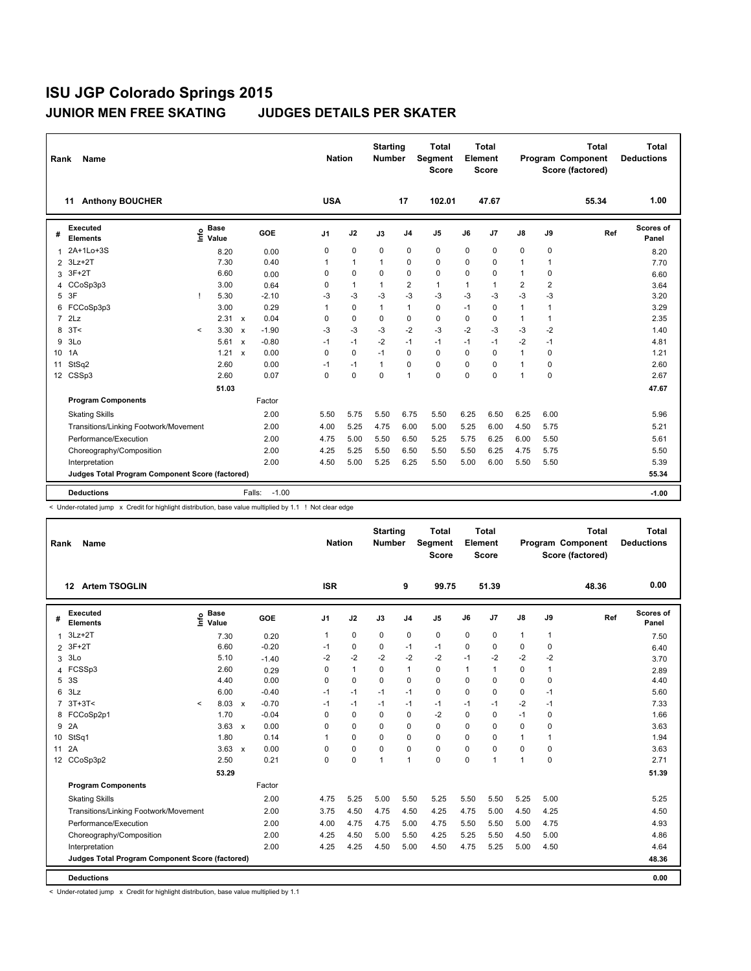| Rank            | <b>Name</b>                                     |         |                                             |                           |                   | <b>Nation</b> |              | <b>Starting</b><br><b>Number</b> |                | <b>Total</b><br>Segment<br><b>Score</b> |                | <b>Total</b><br>Element<br><b>Score</b> |                         |                | <b>Total</b><br>Program Component<br>Score (factored) | <b>Total</b><br><b>Deductions</b> |
|-----------------|-------------------------------------------------|---------|---------------------------------------------|---------------------------|-------------------|---------------|--------------|----------------------------------|----------------|-----------------------------------------|----------------|-----------------------------------------|-------------------------|----------------|-------------------------------------------------------|-----------------------------------|
|                 | <b>Anthony BOUCHER</b><br>11                    |         |                                             |                           |                   | <b>USA</b>    |              |                                  | 17             | 102.01                                  |                | 47.67                                   |                         |                | 55.34                                                 | 1.00                              |
| #               | <b>Executed</b><br><b>Elements</b>              |         | <b>Base</b><br>e <sup>Base</sup><br>⊆ Value |                           | GOE               | J1            | J2           | J3                               | J <sub>4</sub> | J <sub>5</sub>                          | J6             | J <sub>7</sub>                          | $\mathsf{J}8$           | J9             | Ref                                                   | Scores of<br>Panel                |
| $\mathbf{1}$    | 2A+1Lo+3S                                       |         | 8.20                                        |                           | 0.00              | 0             | 0            | $\Omega$                         | $\mathbf 0$    | 0                                       | $\Omega$       | 0                                       | 0                       | 0              |                                                       | 8.20                              |
| $\overline{2}$  | $3Lz+2T$                                        |         | 7.30                                        |                           | 0.40              | 1             | $\mathbf{1}$ | 1                                | $\mathbf 0$    | 0                                       | $\Omega$       | 0                                       | $\overline{1}$          | $\mathbf{1}$   |                                                       | 7.70                              |
| 3               | $3F+2T$                                         |         | 6.60                                        |                           | 0.00              | 0             | 0            | 0                                | $\mathbf 0$    | 0                                       | 0              | $\pmb{0}$                               | $\mathbf{1}$            | 0              |                                                       | 6.60                              |
| 4               | CCoSp3p3                                        |         | 3.00                                        |                           | 0.64              | 0             | 1            | $\mathbf{1}$                     | $\overline{2}$ | $\mathbf{1}$                            | $\overline{1}$ | $\overline{1}$                          | $\overline{\mathbf{c}}$ | $\overline{2}$ |                                                       | 3.64                              |
| 5               | 3F                                              | J.      | 5.30                                        |                           | $-2.10$           | -3            | -3           | -3                               | $-3$           | $-3$                                    | $-3$           | -3                                      | $-3$                    | -3             |                                                       | 3.20                              |
| 6               | FCCoSp3p3                                       |         | 3.00                                        |                           | 0.29              | 1             | 0            | $\mathbf{1}$                     | $\mathbf{1}$   | 0                                       | $-1$           | 0                                       | $\mathbf{1}$            | $\mathbf{1}$   |                                                       | 3.29                              |
| $\overline{7}$  | 2Lz                                             |         | 2.31                                        | $\boldsymbol{\mathsf{x}}$ | 0.04              | 0             | $\Omega$     | 0                                | $\mathbf 0$    | 0                                       | $\Omega$       | 0                                       | $\mathbf{1}$            | $\mathbf{1}$   |                                                       | 2.35                              |
| 8               | 3T<                                             | $\prec$ | 3.30                                        | $\boldsymbol{\mathsf{x}}$ | $-1.90$           | -3            | -3           | $-3$                             | $-2$           | $-3$                                    | $-2$           | $-3$                                    | $-3$                    | $-2$           |                                                       | 1.40                              |
| 9               | 3Lo                                             |         | 5.61                                        | $\boldsymbol{\mathsf{x}}$ | $-0.80$           | $-1$          | $-1$         | $-2$                             | $-1$           | $-1$                                    | $-1$           | $-1$                                    | $-2$                    | $-1$           |                                                       | 4.81                              |
| 10 <sup>°</sup> | 1A                                              |         | 1.21                                        | $\boldsymbol{\mathsf{x}}$ | 0.00              | $\Omega$      | $\Omega$     | $-1$                             | $\Omega$       | $\Omega$                                | $\Omega$       | $\Omega$                                | $\mathbf{1}$            | $\mathbf 0$    |                                                       | 1.21                              |
| 11              | StSq2                                           |         | 2.60                                        |                           | 0.00              | -1            | $-1$         | 1                                | $\mathbf 0$    | $\Omega$                                | $\Omega$       | $\mathbf 0$                             | $\mathbf{1}$            | $\mathbf 0$    |                                                       | 2.60                              |
| 12              | CSSp3                                           |         | 2.60                                        |                           | 0.07              | 0             | $\Omega$     | 0                                | 1              | $\Omega$                                | $\Omega$       | $\Omega$                                | $\overline{1}$          | $\Omega$       |                                                       | 2.67                              |
|                 |                                                 |         | 51.03                                       |                           |                   |               |              |                                  |                |                                         |                |                                         |                         |                |                                                       | 47.67                             |
|                 | <b>Program Components</b>                       |         |                                             |                           | Factor            |               |              |                                  |                |                                         |                |                                         |                         |                |                                                       |                                   |
|                 | <b>Skating Skills</b>                           |         |                                             |                           | 2.00              | 5.50          | 5.75         | 5.50                             | 6.75           | 5.50                                    | 6.25           | 6.50                                    | 6.25                    | 6.00           |                                                       | 5.96                              |
|                 | Transitions/Linking Footwork/Movement           |         |                                             |                           | 2.00              | 4.00          | 5.25         | 4.75                             | 6.00           | 5.00                                    | 5.25           | 6.00                                    | 4.50                    | 5.75           |                                                       | 5.21                              |
|                 | Performance/Execution                           |         |                                             |                           | 2.00              | 4.75          | 5.00         | 5.50                             | 6.50           | 5.25                                    | 5.75           | 6.25                                    | 6.00                    | 5.50           |                                                       | 5.61                              |
|                 | Choreography/Composition                        |         |                                             |                           | 2.00              | 4.25          | 5.25         | 5.50                             | 6.50           | 5.50                                    | 5.50           | 6.25                                    | 4.75                    | 5.75           |                                                       | 5.50                              |
|                 | Interpretation                                  |         |                                             |                           | 2.00              | 4.50          | 5.00         | 5.25                             | 6.25           | 5.50                                    | 5.00           | 6.00                                    | 5.50                    | 5.50           |                                                       | 5.39                              |
|                 | Judges Total Program Component Score (factored) |         |                                             |                           |                   |               |              |                                  |                |                                         |                |                                         |                         |                |                                                       | 55.34                             |
|                 | <b>Deductions</b>                               |         |                                             |                           | $-1.00$<br>Falls: |               |              |                                  |                |                                         |                |                                         |                         |                |                                                       | $-1.00$                           |

< Under-rotated jump x Credit for highlight distribution, base value multiplied by 1.1 ! Not clear edge

| Rank            | <b>Name</b>                                     |              |                      |         |                | <b>Nation</b> | <b>Starting</b><br><b>Number</b> |                | <b>Total</b><br>Segment<br><b>Score</b> |              | Total<br>Element<br><b>Score</b> |              |              | <b>Total</b><br>Program Component<br>Score (factored) | Total<br><b>Deductions</b> |
|-----------------|-------------------------------------------------|--------------|----------------------|---------|----------------|---------------|----------------------------------|----------------|-----------------------------------------|--------------|----------------------------------|--------------|--------------|-------------------------------------------------------|----------------------------|
|                 | <b>Artem TSOGLIN</b><br>12                      |              |                      |         | <b>ISR</b>     |               |                                  | 9              | 99.75                                   |              | 51.39                            |              |              | 48.36                                                 | 0.00                       |
| #               | <b>Executed</b><br><b>Elements</b>              | $\circ$<br>Ĕ | <b>Base</b><br>Value | GOE     | J <sub>1</sub> | J2            | J3                               | J <sub>4</sub> | J <sub>5</sub>                          | J6           | J <sub>7</sub>                   | J8           | J9           | Ref                                                   | Scores of<br>Panel         |
| 1               | $3Lz + 2T$                                      |              | 7.30                 | 0.20    | -1             | 0             | 0                                | 0              | 0                                       | $\Omega$     | 0                                | $\mathbf{1}$ | $\mathbf{1}$ |                                                       | 7.50                       |
| $\overline{2}$  | $3F+2T$                                         |              | 6.60                 | $-0.20$ | $-1$           | 0             | 0                                | $-1$           | $-1$                                    | $\Omega$     | 0                                | 0            | 0            |                                                       | 6.40                       |
| 3               | 3Lo                                             |              | 5.10                 | $-1.40$ | $-2$           | $-2$          | $-2$                             | $-2$           | $-2$                                    | $-1$         | $-2$                             | $-2$         | $-2$         |                                                       | 3.70                       |
|                 | 4 FCSSp3                                        |              | 2.60                 | 0.29    | 0              | $\mathbf{1}$  | 0                                | 1              | 0                                       | $\mathbf{1}$ | $\mathbf{1}$                     | 0            | $\mathbf{1}$ |                                                       | 2.89                       |
| 5               | 3S                                              |              | 4.40                 | 0.00    | 0              | 0             | 0                                | 0              | 0                                       | 0            | 0                                | 0            | 0            |                                                       | 4.40                       |
| 6               | 3Lz                                             |              | 6.00                 | $-0.40$ | $-1$           | $-1$          | $-1$                             | $-1$           | 0                                       | $\Omega$     | $\Omega$                         | 0            | $-1$         |                                                       | 5.60                       |
|                 | $7.3T+3T5$                                      | $\checkmark$ | 8.03 x               | $-0.70$ | $-1$           | $-1$          | $-1$                             | $-1$           | $-1$                                    | $-1$         | $-1$                             | $-2$         | $-1$         |                                                       | 7.33                       |
|                 | 8 FCCoSp2p1                                     |              | 1.70                 | $-0.04$ | 0              | $\Omega$      | 0                                | 0              | $-2$                                    | $\Omega$     | $\mathbf 0$                      | $-1$         | 0            |                                                       | 1.66                       |
| 9               | 2A                                              |              | $3.63 \times$        | 0.00    | 0              | 0             | 0                                | 0              | 0                                       | 0            | 0                                | 0            | $\mathbf 0$  |                                                       | 3.63                       |
| 10 <sup>°</sup> | StSq1                                           |              | 1.80                 | 0.14    | 1              | 0             | 0                                | 0              | 0                                       | $\Omega$     | 0                                | $\mathbf{1}$ | $\mathbf{1}$ |                                                       | 1.94                       |
| 11 2A           |                                                 |              | $3.63 \times$        | 0.00    | 0              | 0             | $\Omega$                         | 0              | 0                                       | $\Omega$     | $\mathbf 0$                      | 0            | $\mathbf 0$  |                                                       | 3.63                       |
|                 | 12 CCoSp3p2                                     |              | 2.50                 | 0.21    | 0              | 0             | 1                                | 1              | 0                                       | $\Omega$     | $\overline{1}$                   | 1            | $\mathbf 0$  |                                                       | 2.71                       |
|                 |                                                 |              | 53.29                |         |                |               |                                  |                |                                         |              |                                  |              |              |                                                       | 51.39                      |
|                 | <b>Program Components</b>                       |              |                      | Factor  |                |               |                                  |                |                                         |              |                                  |              |              |                                                       |                            |
|                 | <b>Skating Skills</b>                           |              |                      | 2.00    | 4.75           | 5.25          | 5.00                             | 5.50           | 5.25                                    | 5.50         | 5.50                             | 5.25         | 5.00         |                                                       | 5.25                       |
|                 | Transitions/Linking Footwork/Movement           |              |                      | 2.00    | 3.75           | 4.50          | 4.75                             | 4.50           | 4.25                                    | 4.75         | 5.00                             | 4.50         | 4.25         |                                                       | 4.50                       |
|                 | Performance/Execution                           |              |                      | 2.00    | 4.00           | 4.75          | 4.75                             | 5.00           | 4.75                                    | 5.50         | 5.50                             | 5.00         | 4.75         |                                                       | 4.93                       |
|                 | Choreography/Composition                        |              |                      | 2.00    | 4.25           | 4.50          | 5.00                             | 5.50           | 4.25                                    | 5.25         | 5.50                             | 4.50         | 5.00         |                                                       | 4.86                       |
|                 | Interpretation                                  |              |                      | 2.00    | 4.25           | 4.25          | 4.50                             | 5.00           | 4.50                                    | 4.75         | 5.25                             | 5.00         | 4.50         |                                                       | 4.64                       |
|                 | Judges Total Program Component Score (factored) |              |                      |         |                |               |                                  |                |                                         |              |                                  |              |              |                                                       | 48.36                      |
|                 | <b>Deductions</b>                               |              |                      |         |                |               |                                  |                |                                         |              |                                  |              |              |                                                       | 0.00                       |

< Under-rotated jump x Credit for highlight distribution, base value multiplied by 1.1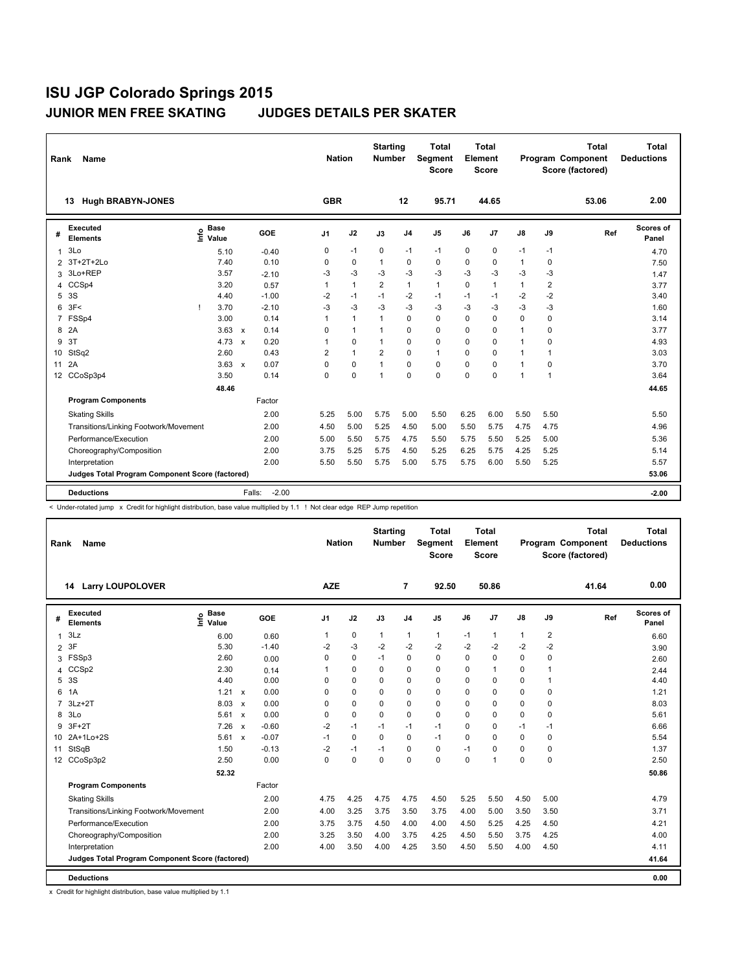| Rank            | <b>Name</b>                                            |      |                      |              |         | <b>Nation</b>  |              | <b>Starting</b><br><b>Number</b> |                | <b>Total</b><br>Segment<br><b>Score</b> |          | <b>Total</b><br>Element<br><b>Score</b> |               |                | <b>Total</b><br>Program Component<br>Score (factored) | Total<br><b>Deductions</b> |
|-----------------|--------------------------------------------------------|------|----------------------|--------------|---------|----------------|--------------|----------------------------------|----------------|-----------------------------------------|----------|-----------------------------------------|---------------|----------------|-------------------------------------------------------|----------------------------|
|                 | <b>Hugh BRABYN-JONES</b><br>13                         |      |                      |              |         | <b>GBR</b>     |              |                                  | 12             | 95.71                                   |          | 44.65                                   |               |                | 53.06                                                 | 2.00                       |
| #               | <b>Executed</b><br><b>Elements</b>                     | lnfo | <b>Base</b><br>Value |              | GOE     | J1             | J2           | J3                               | J <sub>4</sub> | J5                                      | J6       | J <sub>7</sub>                          | $\mathsf{J}8$ | J9             | Ref                                                   | Scores of<br>Panel         |
| $\mathbf{1}$    | 3Lo                                                    |      | 5.10                 |              | $-0.40$ | 0              | $-1$         | 0                                | $-1$           | $-1$                                    | 0        | $\pmb{0}$                               | $-1$          | -1             |                                                       | 4.70                       |
| 2               | 3T+2T+2Lo                                              |      | 7.40                 |              | 0.10    | 0              | $\mathbf 0$  | $\mathbf{1}$                     | 0              | 0                                       | $\Omega$ | $\mathbf 0$                             | $\mathbf{1}$  | 0              |                                                       | 7.50                       |
| 3               | 3Lo+REP                                                |      | 3.57                 |              | $-2.10$ | $-3$           | $-3$         | $-3$                             | $-3$           | $-3$                                    | $-3$     | $-3$                                    | $-3$          | $-3$           |                                                       | 1.47                       |
| 4               | CCSp4                                                  |      | 3.20                 |              | 0.57    | $\overline{1}$ | 1            | 2                                | $\mathbf{1}$   | $\mathbf{1}$                            | $\Omega$ | $\mathbf{1}$                            | 1             | $\overline{2}$ |                                                       | 3.77                       |
| 5               | 3S                                                     |      | 4.40                 |              | $-1.00$ | $-2$           | $-1$         | $-1$                             | $-2$           | $-1$                                    | $-1$     | $-1$                                    | $-2$          | $-2$           |                                                       | 3.40                       |
| 6               | 3F<                                                    |      | 3.70                 |              | $-2.10$ | $-3$           | $-3$         | $-3$                             | $-3$           | $-3$                                    | $-3$     | $-3$                                    | $-3$          | $-3$           |                                                       | 1.60                       |
| $\overline{7}$  | FSSp4                                                  |      | 3.00                 |              | 0.14    | $\overline{1}$ | $\mathbf{1}$ | 1                                | $\Omega$       | $\Omega$                                | $\Omega$ | $\Omega$                                | $\Omega$      | $\Omega$       |                                                       | 3.14                       |
| 8               | 2A                                                     |      | 3.63                 | $\mathbf{x}$ | 0.14    | 0              | $\mathbf{1}$ | $\mathbf{1}$                     | 0              | 0                                       | $\Omega$ | 0                                       | 1             | $\Omega$       |                                                       | 3.77                       |
| 9               | 3T                                                     |      | 4.73                 | $\mathsf{x}$ | 0.20    |                | $\mathbf 0$  | 1                                | 0              | 0                                       | 0        | $\mathbf 0$                             | $\mathbf{1}$  | 0              |                                                       | 4.93                       |
| 10              | StSq2                                                  |      | 2.60                 |              | 0.43    | 2              | $\mathbf{1}$ | $\overline{2}$                   | 0              | $\mathbf{1}$                            | $\Omega$ | 0                                       | $\mathbf{1}$  | $\mathbf{1}$   |                                                       | 3.03                       |
| 11              | 2A                                                     |      | 3.63                 | $\mathbf{x}$ | 0.07    | 0              | 0            | $\mathbf{1}$                     | $\Omega$       | 0                                       | $\Omega$ | $\mathbf 0$                             | 1             | $\Omega$       |                                                       | 3.70                       |
| 12 <sup>°</sup> | CCoSp3p4                                               |      | 3.50                 |              | 0.14    | $\Omega$       | $\Omega$     | $\overline{1}$                   | $\Omega$       | 0                                       | $\Omega$ | $\Omega$                                | 1             | $\mathbf{1}$   |                                                       | 3.64                       |
|                 |                                                        |      | 48.46                |              |         |                |              |                                  |                |                                         |          |                                         |               |                |                                                       | 44.65                      |
|                 | <b>Program Components</b>                              |      |                      |              | Factor  |                |              |                                  |                |                                         |          |                                         |               |                |                                                       |                            |
|                 | <b>Skating Skills</b>                                  |      |                      |              | 2.00    | 5.25           | 5.00         | 5.75                             | 5.00           | 5.50                                    | 6.25     | 6.00                                    | 5.50          | 5.50           |                                                       | 5.50                       |
|                 | Transitions/Linking Footwork/Movement                  |      |                      |              | 2.00    | 4.50           | 5.00         | 5.25                             | 4.50           | 5.00                                    | 5.50     | 5.75                                    | 4.75          | 4.75           |                                                       | 4.96                       |
|                 | Performance/Execution                                  |      |                      |              | 2.00    | 5.00           | 5.50         | 5.75                             | 4.75           | 5.50                                    | 5.75     | 5.50                                    | 5.25          | 5.00           |                                                       | 5.36                       |
|                 | Choreography/Composition                               |      |                      |              | 2.00    | 3.75           | 5.25         | 5.75                             | 4.50           | 5.25                                    | 6.25     | 5.75                                    | 4.25          | 5.25           |                                                       | 5.14                       |
|                 | Interpretation                                         |      |                      |              | 2.00    | 5.50           | 5.50         | 5.75                             | 5.00           | 5.75                                    | 5.75     | 6.00                                    | 5.50          | 5.25           |                                                       | 5.57                       |
|                 | <b>Judges Total Program Component Score (factored)</b> |      |                      |              |         |                |              |                                  |                |                                         |          |                                         |               |                |                                                       | 53.06                      |
|                 | <b>Deductions</b>                                      |      |                      | Falls:       | $-2.00$ |                |              |                                  |                |                                         |          |                                         |               |                |                                                       | $-2.00$                    |

< Under-rotated jump x Credit for highlight distribution, base value multiplied by 1.1 ! Not clear edge REP Jump repetition

| Rank           | <b>Name</b>                                     |                              |              |         |                | <b>Nation</b> | <b>Starting</b><br><b>Number</b> |                | <b>Total</b><br>Segment<br><b>Score</b> |      | <b>Total</b><br>Element<br><b>Score</b> |              |              | <b>Total</b><br>Program Component<br>Score (factored) | <b>Total</b><br><b>Deductions</b> |
|----------------|-------------------------------------------------|------------------------------|--------------|---------|----------------|---------------|----------------------------------|----------------|-----------------------------------------|------|-----------------------------------------|--------------|--------------|-------------------------------------------------------|-----------------------------------|
|                | <b>Larry LOUPOLOVER</b><br>14                   |                              |              |         | <b>AZE</b>     |               |                                  | 7              | 92.50                                   |      | 50.86                                   |              |              | 41.64                                                 | 0.00                              |
| #              | <b>Executed</b><br><b>Elements</b>              | <b>Base</b><br>lnfo<br>Value |              | GOE     | J <sub>1</sub> | J2            | J3                               | J <sub>4</sub> | J <sub>5</sub>                          | J6   | J7                                      | J8           | J9           | Ref                                                   | Scores of<br>Panel                |
| $\mathbf{1}$   | 3Lz                                             | 6.00                         |              | 0.60    | 1              | 0             | $\mathbf{1}$                     | $\mathbf{1}$   | 1                                       | $-1$ | $\mathbf{1}$                            | $\mathbf{1}$ | 2            |                                                       | 6.60                              |
| $\overline{2}$ | 3F                                              | 5.30                         |              | $-1.40$ | $-2$           | $-3$          | $-2$                             | $-2$           | $-2$                                    | $-2$ | $-2$                                    | $-2$         | $-2$         |                                                       | 3.90                              |
| 3              | FSSp3                                           | 2.60                         |              | 0.00    | 0              | 0             | $-1$                             | 0              | $\mathbf 0$                             | 0    | $\mathbf 0$                             | 0            | 0            |                                                       | 2.60                              |
| 4              | CCSp2                                           | 2.30                         |              | 0.14    |                | 0             | $\Omega$                         | 0              | 0                                       | 0    | $\overline{1}$                          | 0            | 1            |                                                       | 2.44                              |
| 5              | 3S                                              | 4.40                         |              | 0.00    | 0              | 0             | $\Omega$                         | 0              | $\Omega$                                | 0    | $\mathbf 0$                             | 0            | $\mathbf{1}$ |                                                       | 4.40                              |
| 6              | 1A                                              | $1.21 \times$                |              | 0.00    | 0              | 0             | $\Omega$                         | 0              | $\Omega$                                | 0    | $\Omega$                                | $\Omega$     | 0            |                                                       | 1.21                              |
| $\overline{7}$ | $3Lz + 2T$                                      | 8.03 x                       |              | 0.00    | 0              | 0             | $\Omega$                         | $\Omega$       | $\Omega$                                | 0    | $\Omega$                                | 0            | $\Omega$     |                                                       | 8.03                              |
| 8              | 3Lo                                             | $5.61 \times$                |              | 0.00    | 0              | 0             | $\Omega$                         | 0              | 0                                       | 0    | $\mathbf 0$                             | 0            | 0            |                                                       | 5.61                              |
| 9              | $3F+2T$                                         | 7.26                         | $\mathbf{x}$ | $-0.60$ | $-2$           | $-1$          | $-1$                             | $-1$           | $-1$                                    | 0    | 0                                       | $-1$         | $-1$         |                                                       | 6.66                              |
|                | 10 2A+1Lo+2S                                    | 5.61 x                       |              | $-0.07$ | $-1$           | 0             | $\Omega$                         | 0              | $-1$                                    | 0    | $\Omega$                                | 0            | $\Omega$     |                                                       | 5.54                              |
|                | 11 StSqB                                        | 1.50                         |              | $-0.13$ | $-2$           | $-1$          | $-1$                             | 0              | 0                                       | $-1$ | $\mathbf 0$                             | 0            | 0            |                                                       | 1.37                              |
|                | 12 CCoSp3p2                                     | 2.50                         |              | 0.00    | 0              | 0             | $\Omega$                         | $\Omega$       | 0                                       | 0    | 1                                       | 0            | 0            |                                                       | 2.50                              |
|                |                                                 | 52.32                        |              |         |                |               |                                  |                |                                         |      |                                         |              |              |                                                       | 50.86                             |
|                | <b>Program Components</b>                       |                              |              | Factor  |                |               |                                  |                |                                         |      |                                         |              |              |                                                       |                                   |
|                | <b>Skating Skills</b>                           |                              |              | 2.00    | 4.75           | 4.25          | 4.75                             | 4.75           | 4.50                                    | 5.25 | 5.50                                    | 4.50         | 5.00         |                                                       | 4.79                              |
|                | Transitions/Linking Footwork/Movement           |                              |              | 2.00    | 4.00           | 3.25          | 3.75                             | 3.50           | 3.75                                    | 4.00 | 5.00                                    | 3.50         | 3.50         |                                                       | 3.71                              |
|                | Performance/Execution                           |                              |              | 2.00    | 3.75           | 3.75          | 4.50                             | 4.00           | 4.00                                    | 4.50 | 5.25                                    | 4.25         | 4.50         |                                                       | 4.21                              |
|                | Choreography/Composition                        |                              |              | 2.00    | 3.25           | 3.50          | 4.00                             | 3.75           | 4.25                                    | 4.50 | 5.50                                    | 3.75         | 4.25         |                                                       | 4.00                              |
|                | Interpretation                                  |                              |              | 2.00    | 4.00           | 3.50          | 4.00                             | 4.25           | 3.50                                    | 4.50 | 5.50                                    | 4.00         | 4.50         |                                                       | 4.11                              |
|                | Judges Total Program Component Score (factored) |                              |              |         |                |               |                                  |                |                                         |      |                                         |              |              |                                                       | 41.64                             |
|                | <b>Deductions</b>                               |                              |              |         |                |               |                                  |                |                                         |      |                                         |              |              |                                                       | 0.00                              |

x Credit for highlight distribution, base value multiplied by 1.1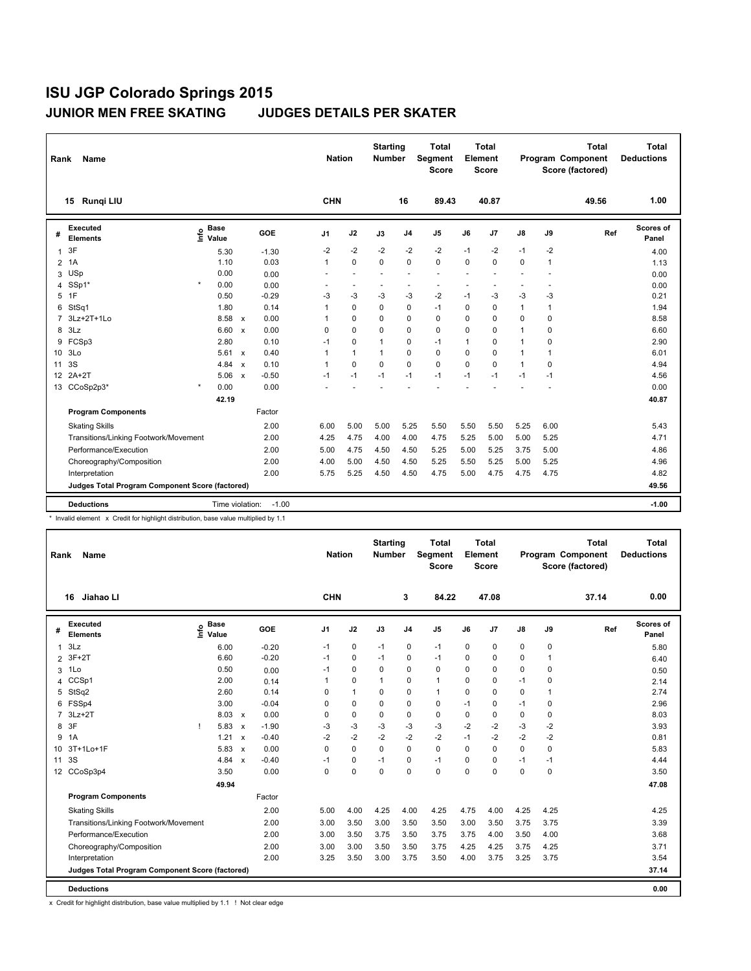| Rank            | <b>Name</b>                                                                        |         |                      |              |         | <b>Nation</b>        |                | <b>Starting</b><br><b>Number</b> |                          | <b>Total</b><br><b>Segment</b><br><b>Score</b> |          | <b>Total</b><br>Element<br>Score |               |                | <b>Total</b><br>Program Component<br>Score (factored) | <b>Total</b><br><b>Deductions</b> |
|-----------------|------------------------------------------------------------------------------------|---------|----------------------|--------------|---------|----------------------|----------------|----------------------------------|--------------------------|------------------------------------------------|----------|----------------------------------|---------------|----------------|-------------------------------------------------------|-----------------------------------|
|                 | Rungi LIU<br>15                                                                    |         |                      |              |         | CHN                  |                |                                  | 16                       | 89.43                                          |          | 40.87                            |               |                | 49.56                                                 | 1.00                              |
| #               | <b>Executed</b><br><b>Elements</b>                                                 | ۴ô      | <b>Base</b><br>Value |              | GOE     | J1                   | J2             | J3                               | J <sub>4</sub>           | J5                                             | J6       | J <sub>7</sub>                   | $\mathsf{J}8$ | J9             | Ref                                                   | <b>Scores of</b><br>Panel         |
| $\mathbf{1}$    | 3F                                                                                 |         | 5.30                 |              | $-1.30$ | $-2$                 | $-2$           | $-2$                             | $-2$                     | $-2$                                           | $-1$     | $-2$                             | -1            | -2             |                                                       | 4.00                              |
| 2               | 1A                                                                                 |         | 1.10                 |              | 0.03    | $\mathbf{1}$         | $\Omega$       | $\Omega$                         | $\mathbf 0$              | $\Omega$                                       | $\Omega$ | $\mathbf 0$                      | 0             | $\mathbf{1}$   |                                                       | 1.13                              |
| 3               | <b>USp</b>                                                                         |         | 0.00                 |              | 0.00    |                      | $\overline{a}$ |                                  | $\overline{\phantom{a}}$ | $\sim$                                         |          |                                  | ÷,            |                |                                                       | 0.00                              |
| 4               | SSp1*                                                                              | $\star$ | 0.00                 |              | 0.00    |                      |                |                                  | $\overline{\phantom{a}}$ |                                                |          |                                  | ÷,            |                |                                                       | 0.00                              |
| 5               | 1F                                                                                 |         | 0.50                 |              | $-0.29$ | -3                   | -3             | -3                               | -3                       | $-2$                                           | $-1$     | -3                               | -3            | -3             |                                                       | 0.21                              |
| 6               | StSq1                                                                              |         | 1.80                 |              | 0.14    | 1                    | $\mathbf 0$    | 0                                | $\mathbf 0$              | $-1$                                           | 0        | 0                                | $\mathbf{1}$  | $\overline{1}$ |                                                       | 1.94                              |
| $\overline{7}$  | 3Lz+2T+1Lo                                                                         |         | 8.58                 | $\mathsf{x}$ | 0.00    | $\blacktriangleleft$ | $\Omega$       | $\Omega$                         | $\mathbf 0$              | $\Omega$                                       | 0        | $\mathbf 0$                      | 0             | $\mathbf 0$    |                                                       | 8.58                              |
| 8               | 3Lz                                                                                |         | 6.60                 | $\mathsf{x}$ | 0.00    | 0                    | $\mathbf 0$    | 0                                | $\mathbf 0$              | 0                                              | 0        | 0                                | 1             | 0              |                                                       | 6.60                              |
| 9               | FCSp3                                                                              |         | 2.80                 |              | 0.10    | $-1$                 | 0              | 1                                | 0                        | $-1$                                           | 1        | 0                                | $\mathbf{1}$  | 0              |                                                       | 2.90                              |
|                 | 10 3Lo                                                                             |         | 5.61                 | $\mathsf{x}$ | 0.40    | 1                    | $\mathbf{1}$   | 1                                | $\Omega$                 | $\Omega$                                       | 0        | $\Omega$                         | 1             | 1              |                                                       | 6.01                              |
| 11              | 3S                                                                                 |         | 4.84                 | $\mathsf{x}$ | 0.10    | $\mathbf{1}$         | $\mathbf 0$    | $\mathbf 0$                      | $\mathbf 0$              | 0                                              | 0        | $\mathbf 0$                      | 1             | $\mathbf 0$    |                                                       | 4.94                              |
| 12 <sup>2</sup> | $2A+2T$                                                                            |         | 5.06                 | $\mathsf{x}$ | $-0.50$ | $-1$                 | $-1$           | $-1$                             | $-1$                     | $-1$                                           | $-1$     | $-1$                             | $-1$          | $-1$           |                                                       | 4.56                              |
|                 | 13 CCoSp2p3*                                                                       | $\star$ | 0.00                 |              | 0.00    |                      |                |                                  |                          |                                                |          |                                  |               |                |                                                       | 0.00                              |
|                 |                                                                                    |         | 42.19                |              |         |                      |                |                                  |                          |                                                |          |                                  |               |                |                                                       | 40.87                             |
|                 | <b>Program Components</b>                                                          |         |                      |              | Factor  |                      |                |                                  |                          |                                                |          |                                  |               |                |                                                       |                                   |
|                 | <b>Skating Skills</b>                                                              |         |                      |              | 2.00    | 6.00                 | 5.00           | 5.00                             | 5.25                     | 5.50                                           | 5.50     | 5.50                             | 5.25          | 6.00           |                                                       | 5.43                              |
|                 | Transitions/Linking Footwork/Movement                                              |         |                      |              | 2.00    | 4.25                 | 4.75           | 4.00                             | 4.00                     | 4.75                                           | 5.25     | 5.00                             | 5.00          | 5.25           |                                                       | 4.71                              |
|                 | Performance/Execution                                                              |         |                      |              | 2.00    | 5.00                 | 4.75           | 4.50                             | 4.50                     | 5.25                                           | 5.00     | 5.25                             | 3.75          | 5.00           |                                                       | 4.86                              |
|                 | Choreography/Composition                                                           |         |                      |              | 2.00    | 4.00                 | 5.00           | 4.50                             | 4.50                     | 5.25                                           | 5.50     | 5.25                             | 5.00          | 5.25           |                                                       | 4.96                              |
|                 | Interpretation                                                                     |         |                      |              | 2.00    | 5.75                 | 5.25           | 4.50                             | 4.50                     | 4.75                                           | 5.00     | 4.75                             | 4.75          | 4.75           |                                                       | 4.82                              |
|                 | Judges Total Program Component Score (factored)                                    |         |                      |              |         |                      |                |                                  |                          |                                                |          |                                  |               |                |                                                       | 49.56                             |
|                 | <b>Deductions</b>                                                                  |         | Time violation:      |              | $-1.00$ |                      |                |                                  |                          |                                                |          |                                  |               |                |                                                       | $-1.00$                           |
|                 | * Invalid element x Credit for highlight distribution hase value multiplied by 1.1 |         |                      |              |         |                      |                |                                  |                          |                                                |          |                                  |               |                |                                                       |                                   |

iighlight distribution, base value multiplied by

| Rank | <b>Name</b>                                     |                    |               |                           |         | <b>Nation</b> |              | <b>Starting</b><br><b>Number</b> |                | <b>Total</b><br>Segment<br><b>Score</b> |          | <b>Total</b><br>Element<br><b>Score</b> |               |      | <b>Total</b><br>Program Component<br>Score (factored) | <b>Total</b><br><b>Deductions</b> |
|------|-------------------------------------------------|--------------------|---------------|---------------------------|---------|---------------|--------------|----------------------------------|----------------|-----------------------------------------|----------|-----------------------------------------|---------------|------|-------------------------------------------------------|-----------------------------------|
|      | Jiahao LI<br>16                                 |                    |               |                           |         | <b>CHN</b>    |              |                                  | 3              | 84.22                                   |          | 47.08                                   |               |      | 37.14                                                 | 0.00                              |
| #    | <b>Executed</b><br><b>Elements</b>              | <b>Base</b><br>١in | Value         |                           | GOE     | J1            | J2           | J3                               | J <sub>4</sub> | J <sub>5</sub>                          | J6       | J7                                      | $\mathsf{J}8$ | J9   | Ref                                                   | Scores of<br>Panel                |
| 1    | 3Lz                                             |                    | 6.00          |                           | $-0.20$ | $-1$          | 0            | $-1$                             | 0              | $-1$                                    | 0        | 0                                       | 0             | 0    |                                                       | 5.80                              |
| 2    | $3F+2T$                                         |                    | 6.60          |                           | $-0.20$ | $-1$          | 0            | $-1$                             | 0              | $-1$                                    | 0        | 0                                       | 0             | 1    |                                                       | 6.40                              |
| 3    | 1Lo                                             |                    | 0.50          |                           | 0.00    | $-1$          | $\mathbf 0$  | $\Omega$                         | 0              | $\mathbf 0$                             | $\Omega$ | 0                                       | 0             | 0    |                                                       | 0.50                              |
| 4    | CCSp1                                           |                    | 2.00          |                           | 0.14    | 1             | 0            | $\mathbf{1}$                     | 0              | 1                                       | 0        | 0                                       | $-1$          | 0    |                                                       | 2.14                              |
| 5    | StSq2                                           |                    | 2.60          |                           | 0.14    | 0             | $\mathbf{1}$ | 0                                | 0              | $\mathbf{1}$                            | 0        | 0                                       | 0             | 1    |                                                       | 2.74                              |
| 6    | FSSp4                                           |                    | 3.00          |                           | $-0.04$ | 0             | 0            | $\Omega$                         | 0              | 0                                       | $-1$     | 0                                       | $-1$          | 0    |                                                       | 2.96                              |
| 7    | $3Lz + 2T$                                      |                    | $8.03 \times$ |                           | 0.00    | 0             | 0            | 0                                | 0              | 0                                       | 0        | 0                                       | 0             | 0    |                                                       | 8.03                              |
| 8    | 3F                                              |                    | 5.83          | $\mathsf{x}$              | $-1.90$ | -3            | $-3$         | $-3$                             | $-3$           | $-3$                                    | $-2$     | $-2$                                    | -3            | $-2$ |                                                       | 3.93                              |
| 9    | 1A                                              |                    | 1.21          | $\boldsymbol{\mathsf{x}}$ | $-0.40$ | $-2$          | -2           | $-2$                             | $-2$           | $-2$                                    | $-1$     | $-2$                                    | -2            | $-2$ |                                                       | 0.81                              |
| 10   | 3T+1Lo+1F                                       |                    | 5.83          | $\mathsf{x}$              | 0.00    | 0             | $\mathbf 0$  | 0                                | 0              | $\mathbf 0$                             | 0        | 0                                       | 0             | 0    |                                                       | 5.83                              |
| 11   | 3S                                              |                    | 4.84          | $\boldsymbol{\mathsf{x}}$ | $-0.40$ | $-1$          | 0            | $-1$                             | 0              | $-1$                                    | 0        | 0                                       | $-1$          | $-1$ |                                                       | 4.44                              |
|      | 12 CCoSp3p4                                     |                    | 3.50          |                           | 0.00    | 0             | $\mathbf 0$  | 0                                | 0              | $\mathbf 0$                             | $\Omega$ | 0                                       | 0             | 0    |                                                       | 3.50                              |
|      |                                                 |                    | 49.94         |                           |         |               |              |                                  |                |                                         |          |                                         |               |      |                                                       | 47.08                             |
|      | <b>Program Components</b>                       |                    |               |                           | Factor  |               |              |                                  |                |                                         |          |                                         |               |      |                                                       |                                   |
|      | <b>Skating Skills</b>                           |                    |               |                           | 2.00    | 5.00          | 4.00         | 4.25                             | 4.00           | 4.25                                    | 4.75     | 4.00                                    | 4.25          | 4.25 |                                                       | 4.25                              |
|      | Transitions/Linking Footwork/Movement           |                    |               |                           | 2.00    | 3.00          | 3.50         | 3.00                             | 3.50           | 3.50                                    | 3.00     | 3.50                                    | 3.75          | 3.75 |                                                       | 3.39                              |
|      | Performance/Execution                           |                    |               |                           | 2.00    | 3.00          | 3.50         | 3.75                             | 3.50           | 3.75                                    | 3.75     | 4.00                                    | 3.50          | 4.00 |                                                       | 3.68                              |
|      | Choreography/Composition                        |                    |               |                           | 2.00    | 3.00          | 3.00         | 3.50                             | 3.50           | 3.75                                    | 4.25     | 4.25                                    | 3.75          | 4.25 |                                                       | 3.71                              |
|      | Interpretation                                  |                    |               |                           | 2.00    | 3.25          | 3.50         | 3.00                             | 3.75           | 3.50                                    | 4.00     | 3.75                                    | 3.25          | 3.75 |                                                       | 3.54                              |
|      | Judges Total Program Component Score (factored) |                    |               |                           |         |               |              |                                  |                |                                         |          |                                         |               |      |                                                       | 37.14                             |
|      | <b>Deductions</b>                               |                    |               |                           |         |               |              |                                  |                |                                         |          |                                         |               |      |                                                       | 0.00                              |
|      |                                                 |                    |               |                           |         |               |              |                                  |                |                                         |          |                                         |               |      |                                                       |                                   |

x Credit for highlight distribution, base value multiplied by 1.1 ! Not clear edge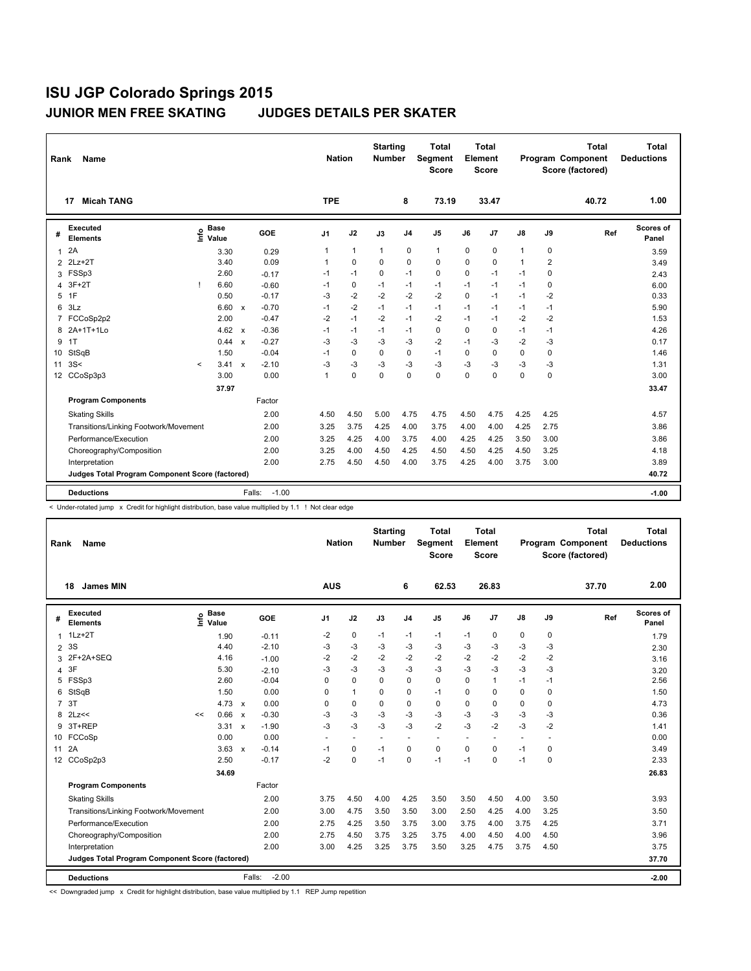| Rank             | <b>Name</b>                                            |         |                      |                           |                   | <b>Nation</b>        |              | <b>Starting</b><br><b>Number</b> |                | <b>Total</b><br>Segment<br><b>Score</b> |          | <b>Total</b><br>Element<br><b>Score</b> |              |                | <b>Total</b><br>Program Component<br>Score (factored) | <b>Total</b><br><b>Deductions</b> |
|------------------|--------------------------------------------------------|---------|----------------------|---------------------------|-------------------|----------------------|--------------|----------------------------------|----------------|-----------------------------------------|----------|-----------------------------------------|--------------|----------------|-------------------------------------------------------|-----------------------------------|
|                  | <b>Micah TANG</b><br>17                                |         |                      |                           |                   | <b>TPE</b>           |              |                                  | 8              | 73.19                                   |          | 33.47                                   |              |                | 40.72                                                 | 1.00                              |
| #                | <b>Executed</b><br><b>Elements</b>                     | lnfo    | <b>Base</b><br>Value |                           | GOE               | J <sub>1</sub>       | J2           | J3                               | J <sub>4</sub> | J <sub>5</sub>                          | J6       | J7                                      | J8           | J9             | Ref                                                   | Scores of<br>Panel                |
| $\mathbf{1}$     | 2A                                                     |         | 3.30                 |                           | 0.29              | 1                    | $\mathbf{1}$ | 1                                | $\mathbf 0$    | 1                                       | 0        | 0                                       | 1            | 0              |                                                       | 3.59                              |
| $\overline{2}$   | $2Lz+2T$                                               |         | 3.40                 |                           | 0.09              | $\mathbf{1}$         | $\mathbf 0$  | $\Omega$                         | $\mathbf 0$    | 0                                       | $\Omega$ | $\mathbf 0$                             | $\mathbf{1}$ | $\overline{2}$ |                                                       | 3.49                              |
| 3                | FSSp3                                                  |         | 2.60                 |                           | $-0.17$           | $-1$                 | $-1$         | 0                                | $-1$           | 0                                       | 0        | $-1$                                    | $-1$         | 0              |                                                       | 2.43                              |
| 4                | $3F+2T$                                                | L       | 6.60                 |                           | $-0.60$           | $-1$                 | $\mathbf 0$  | $-1$                             | $-1$           | $-1$                                    | $-1$     | $-1$                                    | $-1$         | 0              |                                                       | 6.00                              |
| 5                | 1F                                                     |         | 0.50                 |                           | $-0.17$           | $-3$                 | $-2$         | $-2$                             | $-2$           | $-2$                                    | $\Omega$ | $-1$                                    | $-1$         | $-2$           |                                                       | 0.33                              |
| 6                | 3Lz                                                    |         | 6.60                 | $\mathsf{x}$              | $-0.70$           | $-1$                 | $-2$         | $-1$                             | $-1$           | $-1$                                    | $-1$     | $-1$                                    | $-1$         | $-1$           |                                                       | 5.90                              |
| $\overline{7}$   | FCCoSp2p2                                              |         | 2.00                 |                           | $-0.47$           | $-2$                 | $-1$         | $-2$                             | $-1$           | $-2$                                    | $-1$     | $-1$                                    | $-2$         | $-2$           |                                                       | 1.53                              |
| 8                | 2A+1T+1Lo                                              |         | 4.62                 | $\mathsf{x}$              | $-0.36$           | $-1$                 | $-1$         | $-1$                             | $-1$           | 0                                       | $\Omega$ | 0                                       | $-1$         | $-1$           |                                                       | 4.26                              |
| 9                | 1T                                                     |         | 0.44                 | $\boldsymbol{\mathsf{x}}$ | $-0.27$           | $-3$                 | $-3$         | $-3$                             | $-3$           | $-2$                                    | $-1$     | $-3$                                    | $-2$         | $-3$           |                                                       | 0.17                              |
| 10               | StSqB                                                  |         | 1.50                 |                           | $-0.04$           | $-1$                 | $\mathbf 0$  | $\mathbf 0$                      | $\pmb{0}$      | $-1$                                    | 0        | $\mathbf 0$                             | 0            | 0              |                                                       | 1.46                              |
| 11               | 3S<                                                    | $\prec$ | 3.41                 | $\mathsf{x}$              | $-2.10$           | $-3$                 | $-3$         | $-3$                             | $-3$           | $-3$                                    | $-3$     | $-3$                                    | $-3$         | -3             |                                                       | 1.31                              |
| 12 <sup>12</sup> | CCoSp3p3                                               |         | 3.00                 |                           | 0.00              | $\blacktriangleleft$ | $\Omega$     | $\Omega$                         | $\Omega$       | 0                                       | $\Omega$ | $\Omega$                                | 0            | $\Omega$       |                                                       | 3.00                              |
|                  |                                                        |         | 37.97                |                           |                   |                      |              |                                  |                |                                         |          |                                         |              |                |                                                       | 33.47                             |
|                  | <b>Program Components</b>                              |         |                      |                           | Factor            |                      |              |                                  |                |                                         |          |                                         |              |                |                                                       |                                   |
|                  | <b>Skating Skills</b>                                  |         |                      |                           | 2.00              | 4.50                 | 4.50         | 5.00                             | 4.75           | 4.75                                    | 4.50     | 4.75                                    | 4.25         | 4.25           |                                                       | 4.57                              |
|                  | Transitions/Linking Footwork/Movement                  |         |                      |                           | 2.00              | 3.25                 | 3.75         | 4.25                             | 4.00           | 3.75                                    | 4.00     | 4.00                                    | 4.25         | 2.75           |                                                       | 3.86                              |
|                  | Performance/Execution                                  |         |                      |                           | 2.00              | 3.25                 | 4.25         | 4.00                             | 3.75           | 4.00                                    | 4.25     | 4.25                                    | 3.50         | 3.00           |                                                       | 3.86                              |
|                  | Choreography/Composition                               |         |                      |                           | 2.00              | 3.25                 | 4.00         | 4.50                             | 4.25           | 4.50                                    | 4.50     | 4.25                                    | 4.50         | 3.25           |                                                       | 4.18                              |
|                  | Interpretation                                         |         |                      |                           | 2.00              | 2.75                 | 4.50         | 4.50                             | 4.00           | 3.75                                    | 4.25     | 4.00                                    | 3.75         | 3.00           |                                                       | 3.89                              |
|                  | <b>Judges Total Program Component Score (factored)</b> |         |                      |                           |                   |                      |              |                                  |                |                                         |          |                                         |              |                |                                                       | 40.72                             |
|                  | <b>Deductions</b>                                      |         |                      |                           | $-1.00$<br>Falls: |                      |              |                                  |                |                                         |          |                                         |              |                |                                                       | $-1.00$                           |

< Under-rotated jump x Credit for highlight distribution, base value multiplied by 1.1 ! Not clear edge

| Rank  | <b>Name</b>                                     |      |                      |              |                   | <b>Nation</b>  |                | <b>Starting</b><br><b>Number</b> |                | <b>Total</b><br>Segment<br><b>Score</b> |                          | <b>Total</b><br>Element<br><b>Score</b> |                |                      | <b>Total</b><br>Program Component<br>Score (factored) | <b>Total</b><br><b>Deductions</b> |
|-------|-------------------------------------------------|------|----------------------|--------------|-------------------|----------------|----------------|----------------------------------|----------------|-----------------------------------------|--------------------------|-----------------------------------------|----------------|----------------------|-------------------------------------------------------|-----------------------------------|
|       | 18<br><b>James MIN</b>                          |      |                      |              |                   | <b>AUS</b>     |                |                                  | 6              | 62.53                                   |                          | 26.83                                   |                |                      | 37.70                                                 | 2.00                              |
| #     | <b>Executed</b><br><b>Elements</b>              | lnfo | <b>Base</b><br>Value |              | GOE               | J <sub>1</sub> | J2             | J3                               | J <sub>4</sub> | J <sub>5</sub>                          | J6                       | J7                                      | J8             | J9                   | Ref                                                   | Scores of<br>Panel                |
| 1.    | $1Lz+2T$                                        |      | 1.90                 |              | $-0.11$           | $-2$           | 0              | $-1$                             | $-1$           | $-1$                                    | $-1$                     | $\mathbf 0$                             | 0              | 0                    |                                                       | 1.79                              |
|       | 2 3 S                                           |      | 4.40                 |              | $-2.10$           | $-3$           | $-3$           | -3                               | $-3$           | $-3$                                    | -3                       | -3                                      | $-3$           | $-3$                 |                                                       | 2.30                              |
| 3     | 2F+2A+SEQ                                       |      | 4.16                 |              | $-1.00$           | $-2$           | $-2$           | $-2$                             | $-2$           | $-2$                                    | $-2$                     | $-2$                                    | $-2$           | $-2$                 |                                                       | 3.16                              |
| 4     | 3F                                              |      | 5.30                 |              | $-2.10$           | $-3$           | $-3$           | $-3$                             | $-3$           | $-3$                                    | $-3$                     | -3                                      | $-3$           | $-3$                 |                                                       | 3.20                              |
| 5     | FSSp3                                           |      | 2.60                 |              | $-0.04$           | $\Omega$       | 0              | $\Omega$                         | 0              | 0                                       | $\Omega$                 | $\mathbf{1}$                            | $-1$           | $-1$                 |                                                       | 2.56                              |
| 6     | StSqB                                           |      | 1.50                 |              | 0.00              | 0              | $\mathbf{1}$   | 0                                | 0              | $-1$                                    | 0                        | $\mathbf 0$                             | $\mathbf 0$    | 0                    |                                                       | 1.50                              |
|       | 7 3T                                            |      | 4.73 $\times$        |              | 0.00              | $\Omega$       | 0              | $\Omega$                         | $\Omega$       | $\Omega$                                | $\Omega$                 | 0                                       | 0              | $\Omega$             |                                                       | 4.73                              |
| 8     | 2Lz<<                                           | <<   | 0.66                 | $\mathbf{x}$ | $-0.30$           | $-3$           | $-3$           | $-3$                             | $-3$           | -3                                      | -3                       | -3                                      | -3             | -3                   |                                                       | 0.36                              |
| 9     | 3T+REP                                          |      | 3.31                 | $\mathsf{x}$ | $-1.90$           | $-3$           | $-3$           | $-3$                             | $-3$           | $-2$                                    | $-3$                     | $-2$                                    | $-3$           | $-2$                 |                                                       | 1.41                              |
|       | 10 FCCoSp                                       |      | 0.00                 |              | 0.00              | $\sim$         | $\overline{a}$ | $\sim$                           | $\sim$         | $\overline{a}$                          | $\overline{\phantom{a}}$ | $\ddot{\phantom{1}}$                    | $\overline{a}$ | $\ddot{\phantom{1}}$ |                                                       | 0.00                              |
| 11 2A |                                                 |      | $3.63 \times$        |              | $-0.14$           | $-1$           | 0              | $-1$                             | 0              | $\mathbf 0$                             | 0                        | $\mathbf 0$                             | $-1$           | 0                    |                                                       | 3.49                              |
|       | 12 CCoSp2p3                                     |      | 2.50                 |              | $-0.17$           | $-2$           | 0              | $-1$                             | 0              | $-1$                                    | $-1$                     | 0                                       | $-1$           | 0                    |                                                       | 2.33                              |
|       |                                                 |      | 34.69                |              |                   |                |                |                                  |                |                                         |                          |                                         |                |                      |                                                       | 26.83                             |
|       | <b>Program Components</b>                       |      |                      |              | Factor            |                |                |                                  |                |                                         |                          |                                         |                |                      |                                                       |                                   |
|       | <b>Skating Skills</b>                           |      |                      |              | 2.00              | 3.75           | 4.50           | 4.00                             | 4.25           | 3.50                                    | 3.50                     | 4.50                                    | 4.00           | 3.50                 |                                                       | 3.93                              |
|       | Transitions/Linking Footwork/Movement           |      |                      |              | 2.00              | 3.00           | 4.75           | 3.50                             | 3.50           | 3.00                                    | 2.50                     | 4.25                                    | 4.00           | 3.25                 |                                                       | 3.50                              |
|       | Performance/Execution                           |      |                      |              | 2.00              | 2.75           | 4.25           | 3.50                             | 3.75           | 3.00                                    | 3.75                     | 4.00                                    | 3.75           | 4.25                 |                                                       | 3.71                              |
|       | Choreography/Composition                        |      |                      |              | 2.00              | 2.75           | 4.50           | 3.75                             | 3.25           | 3.75                                    | 4.00                     | 4.50                                    | 4.00           | 4.50                 |                                                       | 3.96                              |
|       | Interpretation                                  |      |                      |              | 2.00              | 3.00           | 4.25           | 3.25                             | 3.75           | 3.50                                    | 3.25                     | 4.75                                    | 3.75           | 4.50                 |                                                       | 3.75                              |
|       | Judges Total Program Component Score (factored) |      |                      |              |                   |                |                |                                  |                |                                         |                          |                                         |                |                      |                                                       | 37.70                             |
|       | <b>Deductions</b>                               |      |                      |              | $-2.00$<br>Falls: |                |                |                                  |                |                                         |                          |                                         |                |                      |                                                       | $-2.00$                           |

<< Downgraded jump x Credit for highlight distribution, base value multiplied by 1.1 REP Jump repetition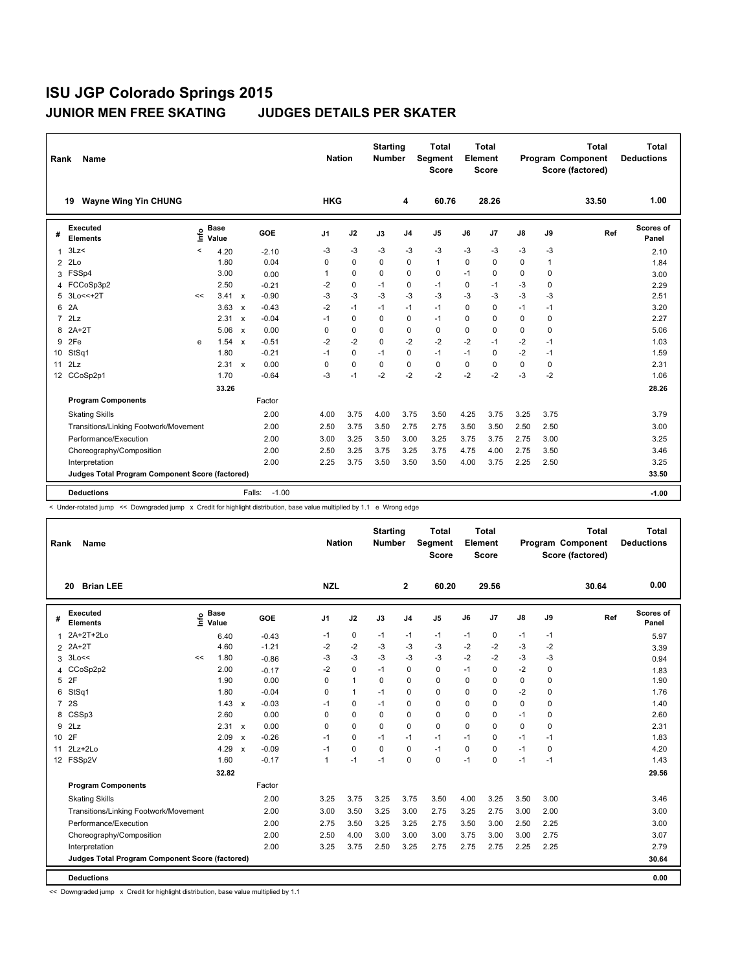| Rank            | <b>Name</b>                                            |         |                      |                           |                   | <b>Nation</b> |             | <b>Starting</b><br><b>Number</b> |                | <b>Total</b><br>Segment<br><b>Score</b> |          | <b>Total</b><br>Element<br><b>Score</b> |               |              | <b>Total</b><br>Program Component<br>Score (factored) | <b>Total</b><br><b>Deductions</b> |
|-----------------|--------------------------------------------------------|---------|----------------------|---------------------------|-------------------|---------------|-------------|----------------------------------|----------------|-----------------------------------------|----------|-----------------------------------------|---------------|--------------|-------------------------------------------------------|-----------------------------------|
|                 | <b>Wayne Wing Yin CHUNG</b><br>19                      |         |                      |                           |                   | <b>HKG</b>    |             |                                  | 4              | 60.76                                   |          | 28.26                                   |               |              | 33.50                                                 | 1.00                              |
| #               | <b>Executed</b><br><b>Elements</b>                     | ۴ů      | <b>Base</b><br>Value |                           | GOE               | J1            | J2          | J3                               | J <sub>4</sub> | J <sub>5</sub>                          | J6       | J7                                      | $\mathsf{J}8$ | J9           | Ref                                                   | Scores of<br>Panel                |
| $\mathbf{1}$    | 3Lz                                                    | $\prec$ | 4.20                 |                           | $-2.10$           | -3            | $-3$        | -3                               | $-3$           | $-3$                                    | $-3$     | $-3$                                    | -3            | -3           |                                                       | 2.10                              |
| 2               | 2Lo                                                    |         | 1.80                 |                           | 0.04              | 0             | $\Omega$    | $\Omega$                         | $\mathbf 0$    | $\mathbf{1}$                            | $\Omega$ | $\mathbf 0$                             | $\mathbf 0$   | $\mathbf{1}$ |                                                       | 1.84                              |
| 3               | FSSp4                                                  |         | 3.00                 |                           | 0.00              | 1             | 0           | 0                                | $\mathbf 0$    | 0                                       | $-1$     | 0                                       | 0             | 0            |                                                       | 3.00                              |
| 4               | FCCoSp3p2                                              |         | 2.50                 |                           | $-0.21$           | $-2$          | $\mathbf 0$ | $-1$                             | $\mathbf 0$    | $-1$                                    | $\Omega$ | $-1$                                    | $-3$          | 0            |                                                       | 2.29                              |
| 5               | 3Lo<<+2T                                               | <<      | 3.41                 | $\mathbf{x}$              | $-0.90$           | -3            | -3          | $-3$                             | $-3$           | $-3$                                    | $-3$     | $-3$                                    | $-3$          | $-3$         |                                                       | 2.51                              |
| 6               | 2A                                                     |         | 3.63                 | $\boldsymbol{\mathsf{x}}$ | $-0.43$           | -2            | $-1$        | $-1$                             | $-1$           | $-1$                                    | $\Omega$ | $\mathbf 0$                             | $-1$          | $-1$         |                                                       | 3.20                              |
| $\overline{7}$  | 2Lz                                                    |         | 2.31                 | $\boldsymbol{\mathsf{x}}$ | $-0.04$           | $-1$          | 0           | 0                                | $\mathbf 0$    | $-1$                                    | $\Omega$ | 0                                       | 0             | 0            |                                                       | 2.27                              |
| 8               | $2A+2T$                                                |         | 5.06                 | $\boldsymbol{\mathsf{x}}$ | 0.00              | 0             | $\mathbf 0$ | 0                                | 0              | 0                                       | $\Omega$ | 0                                       | $\mathbf 0$   | $\Omega$     |                                                       | 5.06                              |
| 9               | 2Fe                                                    | e       | 1.54                 | $\boldsymbol{\mathsf{x}}$ | $-0.51$           | $-2$          | $-2$        | $\Omega$                         | $-2$           | $-2$                                    | $-2$     | $-1$                                    | $-2$          | $-1$         |                                                       | 1.03                              |
| 10              | StSq1                                                  |         | 1.80                 |                           | $-0.21$           | $-1$          | 0           | $-1$                             | 0              | $-1$                                    | $-1$     | 0                                       | $-2$          | $-1$         |                                                       | 1.59                              |
| 11              | 2Lz                                                    |         | $2.31 \times$        |                           | 0.00              | 0             | $\mathbf 0$ | 0                                | $\Omega$       | $\Omega$                                | $\Omega$ | $\Omega$                                | 0             | $\Omega$     |                                                       | 2.31                              |
| 12 <sup>°</sup> | CCoSp2p1                                               |         | 1.70                 |                           | $-0.64$           | -3            | $-1$        | $-2$                             | $-2$           | $-2$                                    | $-2$     | $-2$                                    | $-3$          | $-2$         |                                                       | 1.06                              |
|                 |                                                        |         | 33.26                |                           |                   |               |             |                                  |                |                                         |          |                                         |               |              |                                                       | 28.26                             |
|                 | <b>Program Components</b>                              |         |                      |                           | Factor            |               |             |                                  |                |                                         |          |                                         |               |              |                                                       |                                   |
|                 | <b>Skating Skills</b>                                  |         |                      |                           | 2.00              | 4.00          | 3.75        | 4.00                             | 3.75           | 3.50                                    | 4.25     | 3.75                                    | 3.25          | 3.75         |                                                       | 3.79                              |
|                 | Transitions/Linking Footwork/Movement                  |         |                      |                           | 2.00              | 2.50          | 3.75        | 3.50                             | 2.75           | 2.75                                    | 3.50     | 3.50                                    | 2.50          | 2.50         |                                                       | 3.00                              |
|                 | Performance/Execution                                  |         |                      |                           | 2.00              | 3.00          | 3.25        | 3.50                             | 3.00           | 3.25                                    | 3.75     | 3.75                                    | 2.75          | 3.00         |                                                       | 3.25                              |
|                 | Choreography/Composition                               |         |                      |                           | 2.00              | 2.50          | 3.25        | 3.75                             | 3.25           | 3.75                                    | 4.75     | 4.00                                    | 2.75          | 3.50         |                                                       | 3.46                              |
|                 | Interpretation                                         |         |                      |                           | 2.00              | 2.25          | 3.75        | 3.50                             | 3.50           | 3.50                                    | 4.00     | 3.75                                    | 2.25          | 2.50         |                                                       | 3.25                              |
|                 | <b>Judges Total Program Component Score (factored)</b> |         |                      |                           |                   |               |             |                                  |                |                                         |          |                                         |               |              |                                                       | 33.50                             |
|                 | <b>Deductions</b>                                      |         |                      |                           | $-1.00$<br>Falls: |               |             |                                  |                |                                         |          |                                         |               |              |                                                       | $-1.00$                           |

< Under-rotated jump << Downgraded jump x Credit for highlight distribution, base value multiplied by 1.1 e Wrong edge

| Rank           | <b>Name</b>                                     |      |                      |              |         |                | <b>Nation</b> | <b>Starting</b><br><b>Number</b> |                | <b>Total</b><br>Segment<br><b>Score</b> |          | <b>Total</b><br>Element<br><b>Score</b> |      |          | <b>Total</b><br>Program Component<br>Score (factored) | <b>Total</b><br><b>Deductions</b> |
|----------------|-------------------------------------------------|------|----------------------|--------------|---------|----------------|---------------|----------------------------------|----------------|-----------------------------------------|----------|-----------------------------------------|------|----------|-------------------------------------------------------|-----------------------------------|
|                | <b>Brian LEE</b><br>20                          |      |                      |              |         | <b>NZL</b>     |               |                                  | $\mathbf{2}$   | 60.20                                   |          | 29.56                                   |      |          | 30.64                                                 | 0.00                              |
| #              | <b>Executed</b><br><b>Elements</b>              | ١nfo | <b>Base</b><br>Value |              | GOE     | J <sub>1</sub> | J2            | J3                               | J <sub>4</sub> | J <sub>5</sub>                          | J6       | J7                                      | J8   | J9       | Ref                                                   | Scores of<br>Panel                |
| 1              | 2A+2T+2Lo                                       |      | 6.40                 |              | $-0.43$ | $-1$           | 0             | $-1$                             | $-1$           | $-1$                                    | $-1$     | 0                                       | $-1$ | -1       |                                                       | 5.97                              |
| $\overline{2}$ | $2A+2T$                                         |      | 4.60                 |              | $-1.21$ | $-2$           | $-2$          | -3                               | $-3$           | $-3$                                    | $-2$     | $-2$                                    | $-3$ | $-2$     |                                                       | 3.39                              |
| 3              | 3Lo<<                                           | <<   | 1.80                 |              | $-0.86$ | -3             | $-3$          | -3                               | $-3$           | $-3$                                    | $-2$     | $-2$                                    | -3   | $-3$     |                                                       | 0.94                              |
| 4              | CCoSp2p2                                        |      | 2.00                 |              | $-0.17$ | $-2$           | $\mathbf 0$   | $-1$                             | 0              | 0                                       | $-1$     | 0                                       | $-2$ | 0        |                                                       | 1.83                              |
|                | 5 2F                                            |      | 1.90                 |              | 0.00    | 0              | $\mathbf{1}$  | 0                                | $\mathbf 0$    | 0                                       | 0        | 0                                       | 0    | 0        |                                                       | 1.90                              |
| 6              | StSq1                                           |      | 1.80                 |              | $-0.04$ | 0              | $\mathbf{1}$  | $-1$                             | 0              | 0                                       | 0        | 0                                       | $-2$ | 0        |                                                       | 1.76                              |
| $\overline{7}$ | 2S                                              |      | $1.43 \times$        |              | $-0.03$ | $-1$           | 0             | $-1$                             | 0              | 0                                       | 0        | 0                                       | 0    | $\Omega$ |                                                       | 1.40                              |
| 8              | CSSp3                                           |      | 2.60                 |              | 0.00    | $\mathbf 0$    | 0             | 0                                | 0              | 0                                       | 0        | 0                                       | $-1$ | 0        |                                                       | 2.60                              |
| 9              | 2Lz                                             |      | 2.31 x               |              | 0.00    | $\mathbf 0$    | 0             | 0                                | $\mathbf 0$    | 0                                       | $\Omega$ | 0                                       | 0    | 0        |                                                       | 2.31                              |
| 10 2F          |                                                 |      | 2.09                 | $\mathsf{x}$ | $-0.26$ | $-1$           | $\mathbf 0$   | $-1$                             | $-1$           | $-1$                                    | $-1$     | 0                                       | $-1$ | $-1$     |                                                       | 1.83                              |
|                | 11 2Lz+2Lo                                      |      | 4.29                 | $\mathsf{x}$ | $-0.09$ | $-1$           | $\mathbf 0$   | 0                                | $\mathbf 0$    | $-1$                                    | 0        | 0                                       | $-1$ | 0        |                                                       | 4.20                              |
|                | 12 FSSp2V                                       |      | 1.60                 |              | $-0.17$ | 1              | $-1$          | $-1$                             | $\Omega$       | 0                                       | $-1$     | 0                                       | $-1$ | $-1$     |                                                       | 1.43                              |
|                |                                                 |      | 32.82                |              |         |                |               |                                  |                |                                         |          |                                         |      |          |                                                       | 29.56                             |
|                | <b>Program Components</b>                       |      |                      |              | Factor  |                |               |                                  |                |                                         |          |                                         |      |          |                                                       |                                   |
|                | <b>Skating Skills</b>                           |      |                      |              | 2.00    | 3.25           | 3.75          | 3.25                             | 3.75           | 3.50                                    | 4.00     | 3.25                                    | 3.50 | 3.00     |                                                       | 3.46                              |
|                | Transitions/Linking Footwork/Movement           |      |                      |              | 2.00    | 3.00           | 3.50          | 3.25                             | 3.00           | 2.75                                    | 3.25     | 2.75                                    | 3.00 | 2.00     |                                                       | 3.00                              |
|                | Performance/Execution                           |      |                      |              | 2.00    | 2.75           | 3.50          | 3.25                             | 3.25           | 2.75                                    | 3.50     | 3.00                                    | 2.50 | 2.25     |                                                       | 3.00                              |
|                | Choreography/Composition                        |      |                      |              | 2.00    | 2.50           | 4.00          | 3.00                             | 3.00           | 3.00                                    | 3.75     | 3.00                                    | 3.00 | 2.75     |                                                       | 3.07                              |
|                | Interpretation                                  |      |                      |              | 2.00    | 3.25           | 3.75          | 2.50                             | 3.25           | 2.75                                    | 2.75     | 2.75                                    | 2.25 | 2.25     |                                                       | 2.79                              |
|                | Judges Total Program Component Score (factored) |      |                      |              |         |                |               |                                  |                |                                         |          |                                         |      |          |                                                       | 30.64                             |
|                | <b>Deductions</b>                               |      |                      |              |         |                |               |                                  |                |                                         |          |                                         |      |          |                                                       | 0.00                              |

<< Downgraded jump x Credit for highlight distribution, base value multiplied by 1.1